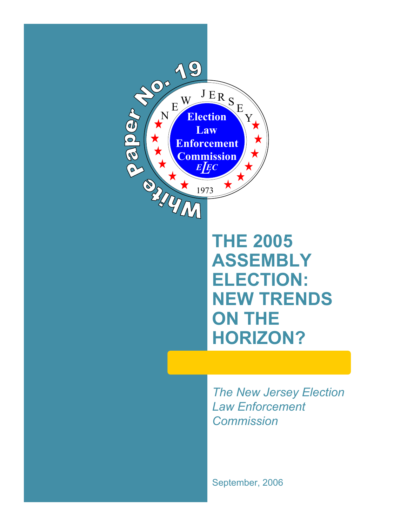

# **THE 2005 ASSEMBLY ELECTION: NEW TRENDS ON THE HORIZON?**

*The New Jersey Election Law Enforcement Commission*

September, 2006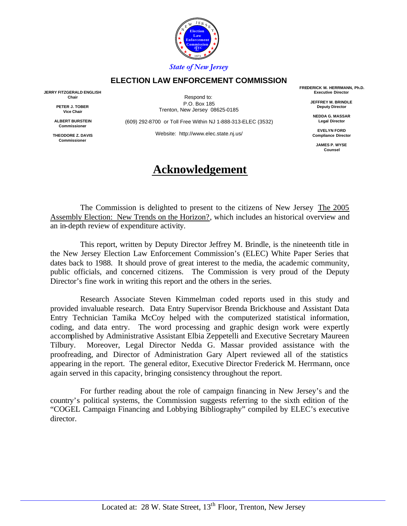

#### **ELECTION LAW ENFORCEMENT COMMISSION**

**JERRY FITZGERALD ENGLISH Chair**

> **PETER J. TOBER Vice Chair**

**ALBERT BURSTEIN Commissioner**

**THEODORE Z. DAVIS Commissioner**

Respond to: P.O. Box 185 Trenton, New Jersey 08625-0185

(609) 292-8700 or Toll Free Within NJ 1-888-313-ELEC (3532)

Website: http://www.elec.state.nj.us/

# **Acknowledgement**

**FREDERICK M. HERRMANN, Ph.D. Executive Director**

> **JEFFREY M. BRINDLE Deputy Director**

**NEDDA G. MASSAR Legal Director**

**EVELYN FORD Compliance Director**

> **JAMES P. WYSE Counsel**

The Commission is delighted to present to the citizens of New Jersey The 2005 Assembly Election: New Trends on the Horizon?, which includes an historical overview and an in-depth review of expenditure activity.

This report, written by Deputy Director Jeffrey M. Brindle, is the nineteenth title in the New Jersey Election Law Enforcement Commission's (ELEC) White Paper Series that dates back to 1988. It should prove of great interest to the media, the academic community, public officials, and concerned citizens. The Commission is very proud of the Deputy Director's fine work in writing this report and the others in the series.

Research Associate Steven Kimmelman coded reports used in this study and provided invaluable research. Data Entry Supervisor Brenda Brickhouse and Assistant Data Entry Technician Tamika McCoy helped with the computerized statistical information, coding, and data entry. The word processing and graphic design work were expertly accomplished by Administrative Assistant Elbia Zeppetelli and Executive Secretary Maureen Tilbury. Moreover, Legal Director Nedda G. Massar provided assistance with the proofreading, and Director of Administration Gary Alpert reviewed all of the statistics appearing in the report. The general editor, Executive Director Frederick M. Herrmann, once again served in this capacity, bringing consistency throughout the report.

For further reading about the role of campaign financing in New Jersey's and the country's political systems, the Commission suggests referring to the sixth edition of the "COGEL Campaign Financing and Lobbying Bibliography" compiled by ELEC's executive director.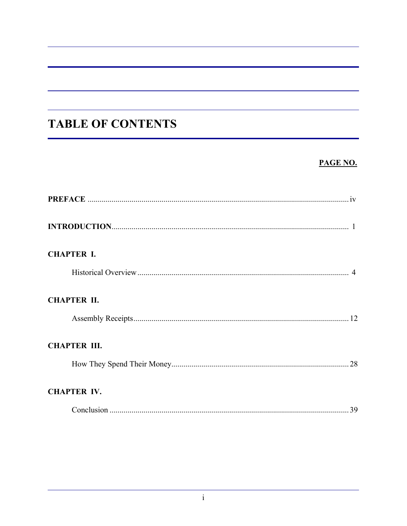# **TABLE OF CONTENTS**

# PAGE NO.

| <b>CHAPTER I.</b>   |
|---------------------|
|                     |
| <b>CHAPTER II.</b>  |
|                     |
| <b>CHAPTER III.</b> |
|                     |
| <b>CHAPTER IV.</b>  |
|                     |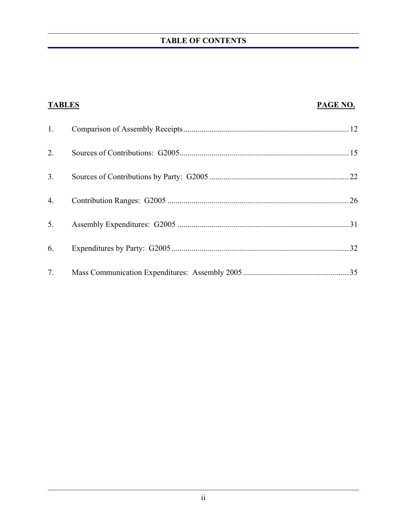# **TABLE OF CONTENTS**

| <b>TABLES</b> | PAGE NO. |
|---------------|----------|
| 1.            |          |
| 2.            |          |
| 3.            |          |
| 4.            |          |
| 5.            | . 31     |
| 6.            |          |
| 7.            |          |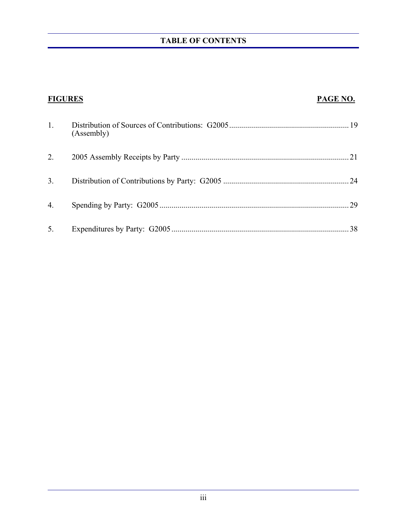# **TABLE OF CONTENTS**

| <b>FIGURES</b> |            | PAGE NO. |
|----------------|------------|----------|
| 1.             | (Assembly) |          |
| 2.             |            | .21      |
| 3 <sub>1</sub> |            |          |
| 4.             |            | 29       |
| 5.             |            | 38       |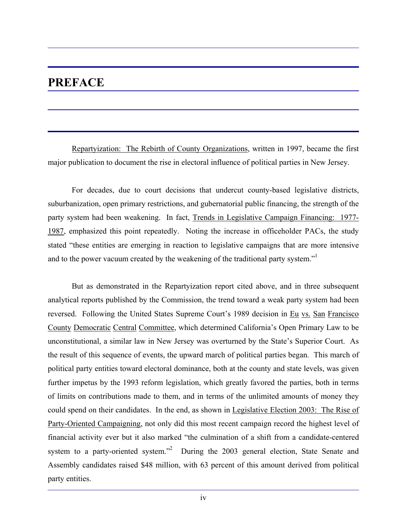# **PREFACE**

 Repartyization: The Rebirth of County Organizations, written in 1997, became the first major publication to document the rise in electoral influence of political parties in New Jersey.

 For decades, due to court decisions that undercut county-based legislative districts, suburbanization, open primary restrictions, and gubernatorial public financing, the strength of the party system had been weakening. In fact, Trends in Legislative Campaign Financing: 1977- 1987, emphasized this point repeatedly. Noting the increase in officeholder PACs, the study stated "these entities are emerging in reaction to legislative campaigns that are more intensive and to the power vacuum created by the weakening of the traditional party system."1

 But as demonstrated in the Repartyization report cited above, and in three subsequent analytical reports published by the Commission, the trend toward a weak party system had been reversed. Following the United States Supreme Court's 1989 decision in Eu vs. San Francisco County Democratic Central Committee, which determined California's Open Primary Law to be unconstitutional, a similar law in New Jersey was overturned by the State's Superior Court. As the result of this sequence of events, the upward march of political parties began. This march of political party entities toward electoral dominance, both at the county and state levels, was given further impetus by the 1993 reform legislation, which greatly favored the parties, both in terms of limits on contributions made to them, and in terms of the unlimited amounts of money they could spend on their candidates. In the end, as shown in Legislative Election 2003: The Rise of Party-Oriented Campaigning, not only did this most recent campaign record the highest level of financial activity ever but it also marked "the culmination of a shift from a candidate-centered system to a party-oriented system."<sup>2</sup> During the 2003 general election, State Senate and Assembly candidates raised \$48 million, with 63 percent of this amount derived from political party entities.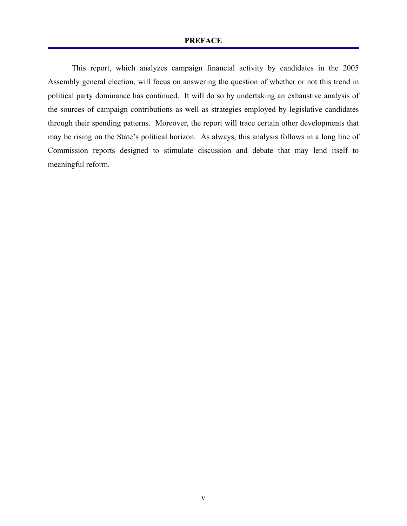#### **PREFACE**

 This report, which analyzes campaign financial activity by candidates in the 2005 Assembly general election, will focus on answering the question of whether or not this trend in political party dominance has continued. It will do so by undertaking an exhaustive analysis of the sources of campaign contributions as well as strategies employed by legislative candidates through their spending patterns. Moreover, the report will trace certain other developments that may be rising on the State's political horizon. As always, this analysis follows in a long line of Commission reports designed to stimulate discussion and debate that may lend itself to meaningful reform.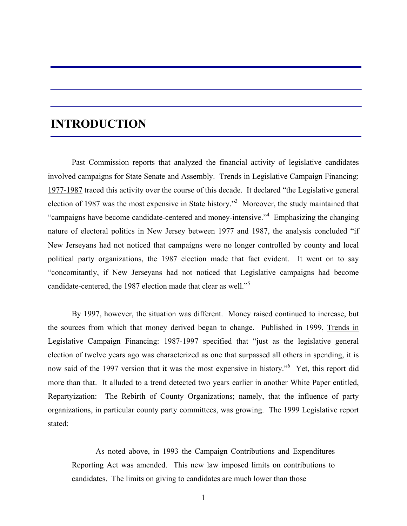# **INTRODUCTION**

Past Commission reports that analyzed the financial activity of legislative candidates involved campaigns for State Senate and Assembly. Trends in Legislative Campaign Financing: 1977-1987 traced this activity over the course of this decade. It declared "the Legislative general election of 1987 was the most expensive in State history.<sup>3</sup> Moreover, the study maintained that "campaigns have become candidate-centered and money-intensive."<sup>4</sup> Emphasizing the changing nature of electoral politics in New Jersey between 1977 and 1987, the analysis concluded "if New Jerseyans had not noticed that campaigns were no longer controlled by county and local political party organizations, the 1987 election made that fact evident. It went on to say "concomitantly, if New Jerseyans had not noticed that Legislative campaigns had become candidate-centered, the 1987 election made that clear as well."<sup>5</sup>

By 1997, however, the situation was different. Money raised continued to increase, but the sources from which that money derived began to change. Published in 1999, Trends in Legislative Campaign Financing: 1987-1997 specified that "just as the legislative general election of twelve years ago was characterized as one that surpassed all others in spending, it is now said of the 1997 version that it was the most expensive in history."<sup>6</sup> Yet, this report did more than that. It alluded to a trend detected two years earlier in another White Paper entitled, Repartyization: The Rebirth of County Organizations; namely, that the influence of party organizations, in particular county party committees, was growing. The 1999 Legislative report stated:

 As noted above, in 1993 the Campaign Contributions and Expenditures Reporting Act was amended. This new law imposed limits on contributions to candidates. The limits on giving to candidates are much lower than those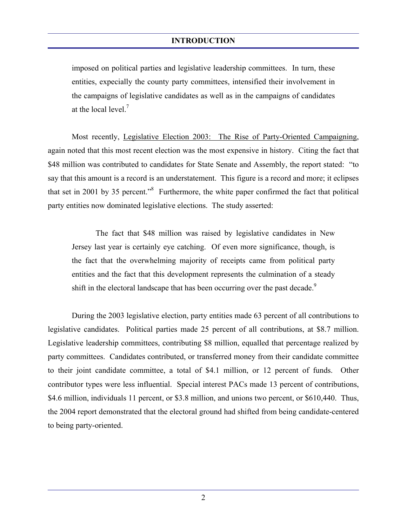imposed on political parties and legislative leadership committees. In turn, these entities, expecially the county party committees, intensified their involvement in the campaigns of legislative candidates as well as in the campaigns of candidates at the local level.<sup>7</sup>

Most recently, Legislative Election 2003: The Rise of Party-Oriented Campaigning, again noted that this most recent election was the most expensive in history. Citing the fact that \$48 million was contributed to candidates for State Senate and Assembly, the report stated: "to say that this amount is a record is an understatement. This figure is a record and more; it eclipses that set in 2001 by 35 percent.<sup>8</sup> Furthermore, the white paper confirmed the fact that political party entities now dominated legislative elections. The study asserted:

 The fact that \$48 million was raised by legislative candidates in New Jersey last year is certainly eye catching. Of even more significance, though, is the fact that the overwhelming majority of receipts came from political party entities and the fact that this development represents the culmination of a steady shift in the electoral landscape that has been occurring over the past decade.<sup>9</sup>

During the 2003 legislative election, party entities made 63 percent of all contributions to legislative candidates. Political parties made 25 percent of all contributions, at \$8.7 million. Legislative leadership committees, contributing \$8 million, equalled that percentage realized by party committees. Candidates contributed, or transferred money from their candidate committee to their joint candidate committee, a total of \$4.1 million, or 12 percent of funds. Other contributor types were less influential. Special interest PACs made 13 percent of contributions, \$4.6 million, individuals 11 percent, or \$3.8 million, and unions two percent, or \$610,440. Thus, the 2004 report demonstrated that the electoral ground had shifted from being candidate-centered to being party-oriented.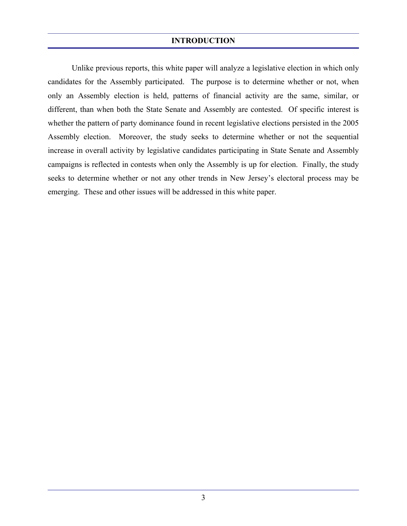### **INTRODUCTION**

 Unlike previous reports, this white paper will analyze a legislative election in which only candidates for the Assembly participated. The purpose is to determine whether or not, when only an Assembly election is held, patterns of financial activity are the same, similar, or different, than when both the State Senate and Assembly are contested. Of specific interest is whether the pattern of party dominance found in recent legislative elections persisted in the 2005 Assembly election. Moreover, the study seeks to determine whether or not the sequential increase in overall activity by legislative candidates participating in State Senate and Assembly campaigns is reflected in contests when only the Assembly is up for election. Finally, the study seeks to determine whether or not any other trends in New Jersey's electoral process may be emerging. These and other issues will be addressed in this white paper.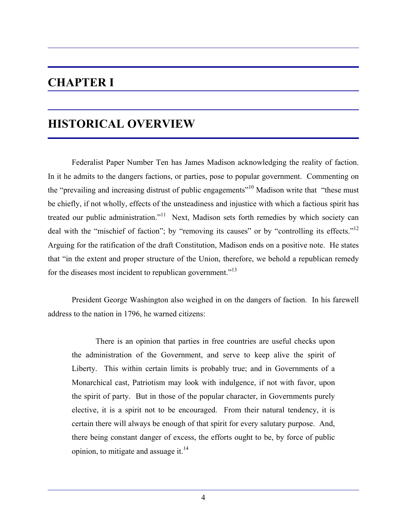# **CHAPTER I**

# **HISTORICAL OVERVIEW**

 Federalist Paper Number Ten has James Madison acknowledging the reality of faction. In it he admits to the dangers factions, or parties, pose to popular government. Commenting on the "prevailing and increasing distrust of public engagements"<sup>10</sup> Madison write that "these must be chiefly, if not wholly, effects of the unsteadiness and injustice with which a factious spirit has treated our public administration."<sup>11</sup> Next, Madison sets forth remedies by which society can deal with the "mischief of faction"; by "removing its causes" or by "controlling its effects."<sup>12</sup> Arguing for the ratification of the draft Constitution, Madison ends on a positive note. He states that "in the extent and proper structure of the Union, therefore, we behold a republican remedy for the diseases most incident to republican government.<sup>"13</sup>

 President George Washington also weighed in on the dangers of faction. In his farewell address to the nation in 1796, he warned citizens:

 There is an opinion that parties in free countries are useful checks upon the administration of the Government, and serve to keep alive the spirit of Liberty. This within certain limits is probably true; and in Governments of a Monarchical cast, Patriotism may look with indulgence, if not with favor, upon the spirit of party. But in those of the popular character, in Governments purely elective, it is a spirit not to be encouraged. From their natural tendency, it is certain there will always be enough of that spirit for every salutary purpose. And, there being constant danger of excess, the efforts ought to be, by force of public opinion, to mitigate and assuage it. $14$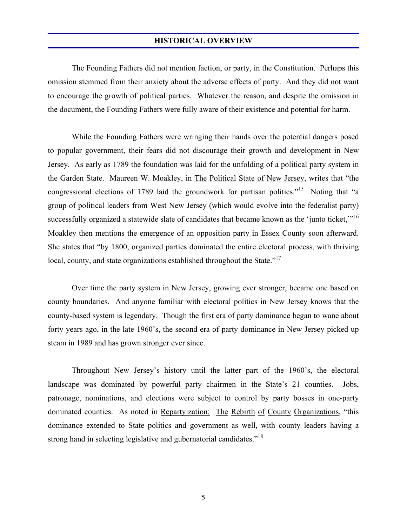The Founding Fathers did not mention faction, or party, in the Constitution. Perhaps this omission stemmed from their anxiety about the adverse effects of party. And they did not want to encourage the growth of political parties. Whatever the reason, and despite the omission in the document, the Founding Fathers were fully aware of their existence and potential for harm.

 While the Founding Fathers were wringing their hands over the potential dangers posed to popular government, their fears did not discourage their growth and development in New Jersey. As early as 1789 the foundation was laid for the unfolding of a political party system in the Garden State. Maureen W. Moakley, in The Political State of New Jersey, writes that "the congressional elections of 1789 laid the groundwork for partisan politics."<sup>15</sup> Noting that "a group of political leaders from West New Jersey (which would evolve into the federalist party) successfully organized a statewide slate of candidates that became known as the 'junto ticket,'"<sup>16</sup> Moakley then mentions the emergence of an opposition party in Essex County soon afterward. She states that "by 1800, organized parties dominated the entire electoral process, with thriving local, county, and state organizations established throughout the State."<sup>17</sup>

 Over time the party system in New Jersey, growing ever stronger, became one based on county boundaries. And anyone familiar with electoral politics in New Jersey knows that the county-based system is legendary. Though the first era of party dominance began to wane about forty years ago, in the late 1960's, the second era of party dominance in New Jersey picked up steam in 1989 and has grown stronger ever since.

 Throughout New Jersey's history until the latter part of the 1960's, the electoral landscape was dominated by powerful party chairmen in the State's 21 counties. Jobs, patronage, nominations, and elections were subject to control by party bosses in one-party dominated counties. As noted in Repartyization: The Rebirth of County Organizations, "this dominance extended to State politics and government as well, with county leaders having a strong hand in selecting legislative and gubernatorial candidates."<sup>18</sup>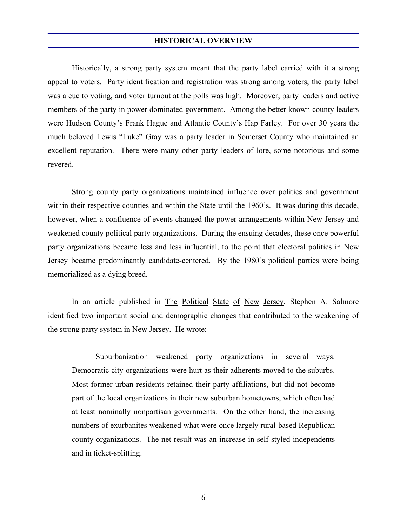Historically, a strong party system meant that the party label carried with it a strong appeal to voters. Party identification and registration was strong among voters, the party label was a cue to voting, and voter turnout at the polls was high. Moreover, party leaders and active members of the party in power dominated government. Among the better known county leaders were Hudson County's Frank Hague and Atlantic County's Hap Farley. For over 30 years the much beloved Lewis "Luke" Gray was a party leader in Somerset County who maintained an excellent reputation. There were many other party leaders of lore, some notorious and some revered.

 Strong county party organizations maintained influence over politics and government within their respective counties and within the State until the 1960's. It was during this decade, however, when a confluence of events changed the power arrangements within New Jersey and weakened county political party organizations. During the ensuing decades, these once powerful party organizations became less and less influential, to the point that electoral politics in New Jersey became predominantly candidate-centered. By the 1980's political parties were being memorialized as a dying breed.

In an article published in The Political State of New Jersey, Stephen A. Salmore identified two important social and demographic changes that contributed to the weakening of the strong party system in New Jersey. He wrote:

 Suburbanization weakened party organizations in several ways. Democratic city organizations were hurt as their adherents moved to the suburbs. Most former urban residents retained their party affiliations, but did not become part of the local organizations in their new suburban hometowns, which often had at least nominally nonpartisan governments. On the other hand, the increasing numbers of exurbanites weakened what were once largely rural-based Republican county organizations. The net result was an increase in self-styled independents and in ticket-splitting.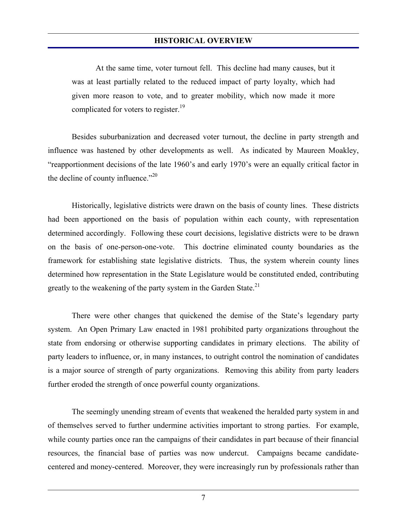At the same time, voter turnout fell. This decline had many causes, but it was at least partially related to the reduced impact of party loyalty, which had given more reason to vote, and to greater mobility, which now made it more complicated for voters to register.<sup>19</sup>

 Besides suburbanization and decreased voter turnout, the decline in party strength and influence was hastened by other developments as well. As indicated by Maureen Moakley, "reapportionment decisions of the late 1960's and early 1970's were an equally critical factor in the decline of county influence."<sup>20</sup>

 Historically, legislative districts were drawn on the basis of county lines. These districts had been apportioned on the basis of population within each county, with representation determined accordingly. Following these court decisions, legislative districts were to be drawn on the basis of one-person-one-vote. This doctrine eliminated county boundaries as the framework for establishing state legislative districts. Thus, the system wherein county lines determined how representation in the State Legislature would be constituted ended, contributing greatly to the weakening of the party system in the Garden State.<sup>21</sup>

 There were other changes that quickened the demise of the State's legendary party system. An Open Primary Law enacted in 1981 prohibited party organizations throughout the state from endorsing or otherwise supporting candidates in primary elections. The ability of party leaders to influence, or, in many instances, to outright control the nomination of candidates is a major source of strength of party organizations. Removing this ability from party leaders further eroded the strength of once powerful county organizations.

 The seemingly unending stream of events that weakened the heralded party system in and of themselves served to further undermine activities important to strong parties. For example, while county parties once ran the campaigns of their candidates in part because of their financial resources, the financial base of parties was now undercut. Campaigns became candidatecentered and money-centered. Moreover, they were increasingly run by professionals rather than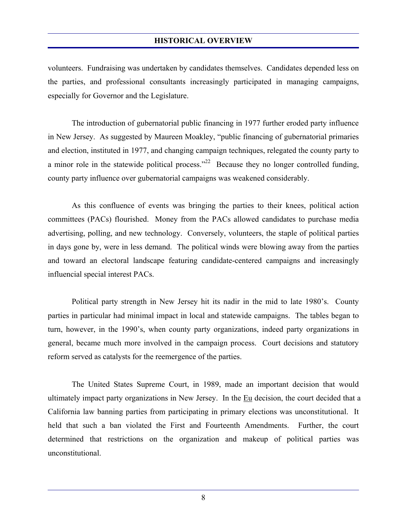volunteers. Fundraising was undertaken by candidates themselves. Candidates depended less on the parties, and professional consultants increasingly participated in managing campaigns, especially for Governor and the Legislature.

 The introduction of gubernatorial public financing in 1977 further eroded party influence in New Jersey. As suggested by Maureen Moakley, "public financing of gubernatorial primaries and election, instituted in 1977, and changing campaign techniques, relegated the county party to a minor role in the statewide political process."<sup>22</sup> Because they no longer controlled funding, county party influence over gubernatorial campaigns was weakened considerably.

 As this confluence of events was bringing the parties to their knees, political action committees (PACs) flourished. Money from the PACs allowed candidates to purchase media advertising, polling, and new technology. Conversely, volunteers, the staple of political parties in days gone by, were in less demand. The political winds were blowing away from the parties and toward an electoral landscape featuring candidate-centered campaigns and increasingly influencial special interest PACs.

 Political party strength in New Jersey hit its nadir in the mid to late 1980's. County parties in particular had minimal impact in local and statewide campaigns. The tables began to turn, however, in the 1990's, when county party organizations, indeed party organizations in general, became much more involved in the campaign process. Court decisions and statutory reform served as catalysts for the reemergence of the parties.

 The United States Supreme Court, in 1989, made an important decision that would ultimately impact party organizations in New Jersey. In the Eu decision, the court decided that a California law banning parties from participating in primary elections was unconstitutional. It held that such a ban violated the First and Fourteenth Amendments. Further, the court determined that restrictions on the organization and makeup of political parties was unconstitutional.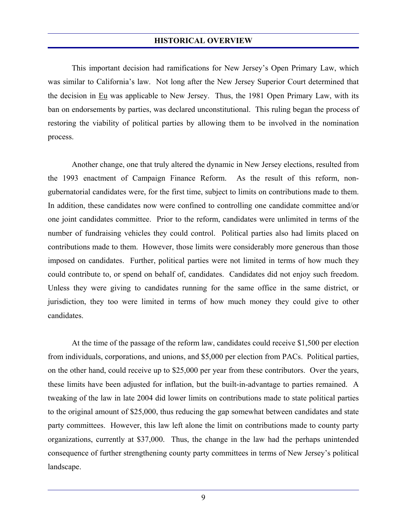This important decision had ramifications for New Jersey's Open Primary Law, which was similar to California's law. Not long after the New Jersey Superior Court determined that the decision in Eu was applicable to New Jersey. Thus, the 1981 Open Primary Law, with its ban on endorsements by parties, was declared unconstitutional. This ruling began the process of restoring the viability of political parties by allowing them to be involved in the nomination process.

 Another change, one that truly altered the dynamic in New Jersey elections, resulted from the 1993 enactment of Campaign Finance Reform. As the result of this reform, nongubernatorial candidates were, for the first time, subject to limits on contributions made to them. In addition, these candidates now were confined to controlling one candidate committee and/or one joint candidates committee. Prior to the reform, candidates were unlimited in terms of the number of fundraising vehicles they could control. Political parties also had limits placed on contributions made to them. However, those limits were considerably more generous than those imposed on candidates. Further, political parties were not limited in terms of how much they could contribute to, or spend on behalf of, candidates. Candidates did not enjoy such freedom. Unless they were giving to candidates running for the same office in the same district, or jurisdiction, they too were limited in terms of how much money they could give to other candidates.

 At the time of the passage of the reform law, candidates could receive \$1,500 per election from individuals, corporations, and unions, and \$5,000 per election from PACs. Political parties, on the other hand, could receive up to \$25,000 per year from these contributors. Over the years, these limits have been adjusted for inflation, but the built-in-advantage to parties remained. A tweaking of the law in late 2004 did lower limits on contributions made to state political parties to the original amount of \$25,000, thus reducing the gap somewhat between candidates and state party committees. However, this law left alone the limit on contributions made to county party organizations, currently at \$37,000. Thus, the change in the law had the perhaps unintended consequence of further strengthening county party committees in terms of New Jersey's political landscape.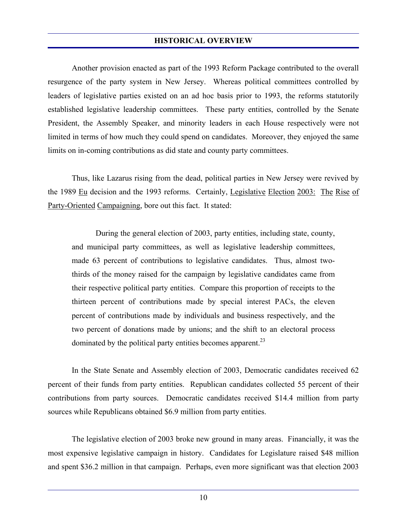Another provision enacted as part of the 1993 Reform Package contributed to the overall resurgence of the party system in New Jersey. Whereas political committees controlled by leaders of legislative parties existed on an ad hoc basis prior to 1993, the reforms statutorily established legislative leadership committees. These party entities, controlled by the Senate President, the Assembly Speaker, and minority leaders in each House respectively were not limited in terms of how much they could spend on candidates. Moreover, they enjoyed the same limits on in-coming contributions as did state and county party committees.

 Thus, like Lazarus rising from the dead, political parties in New Jersey were revived by the 1989 Eu decision and the 1993 reforms. Certainly, Legislative Election 2003: The Rise of Party-Oriented Campaigning, bore out this fact. It stated:

 During the general election of 2003, party entities, including state, county, and municipal party committees, as well as legislative leadership committees, made 63 percent of contributions to legislative candidates. Thus, almost twothirds of the money raised for the campaign by legislative candidates came from their respective political party entities. Compare this proportion of receipts to the thirteen percent of contributions made by special interest PACs, the eleven percent of contributions made by individuals and business respectively, and the two percent of donations made by unions; and the shift to an electoral process dominated by the political party entities becomes apparent.<sup>23</sup>

 In the State Senate and Assembly election of 2003, Democratic candidates received 62 percent of their funds from party entities. Republican candidates collected 55 percent of their contributions from party sources. Democratic candidates received \$14.4 million from party sources while Republicans obtained \$6.9 million from party entities.

 The legislative election of 2003 broke new ground in many areas. Financially, it was the most expensive legislative campaign in history. Candidates for Legislature raised \$48 million and spent \$36.2 million in that campaign. Perhaps, even more significant was that election 2003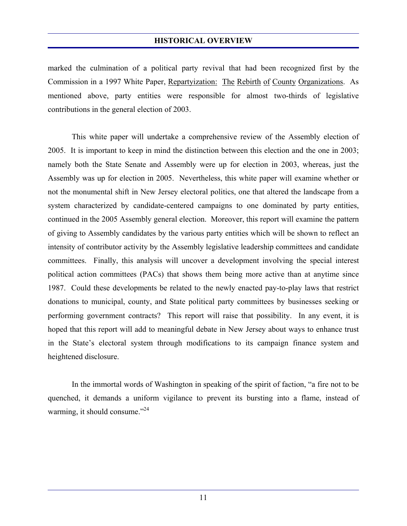marked the culmination of a political party revival that had been recognized first by the Commission in a 1997 White Paper, Repartyization: The Rebirth of County Organizations. As mentioned above, party entities were responsible for almost two-thirds of legislative contributions in the general election of 2003.

 This white paper will undertake a comprehensive review of the Assembly election of 2005. It is important to keep in mind the distinction between this election and the one in 2003; namely both the State Senate and Assembly were up for election in 2003, whereas, just the Assembly was up for election in 2005. Nevertheless, this white paper will examine whether or not the monumental shift in New Jersey electoral politics, one that altered the landscape from a system characterized by candidate-centered campaigns to one dominated by party entities, continued in the 2005 Assembly general election. Moreover, this report will examine the pattern of giving to Assembly candidates by the various party entities which will be shown to reflect an intensity of contributor activity by the Assembly legislative leadership committees and candidate committees. Finally, this analysis will uncover a development involving the special interest political action committees (PACs) that shows them being more active than at anytime since 1987. Could these developments be related to the newly enacted pay-to-play laws that restrict donations to municipal, county, and State political party committees by businesses seeking or performing government contracts? This report will raise that possibility. In any event, it is hoped that this report will add to meaningful debate in New Jersey about ways to enhance trust in the State's electoral system through modifications to its campaign finance system and heightened disclosure.

 In the immortal words of Washington in speaking of the spirit of faction, "a fire not to be quenched, it demands a uniform vigilance to prevent its bursting into a flame, instead of warming, it should consume." $^{24}$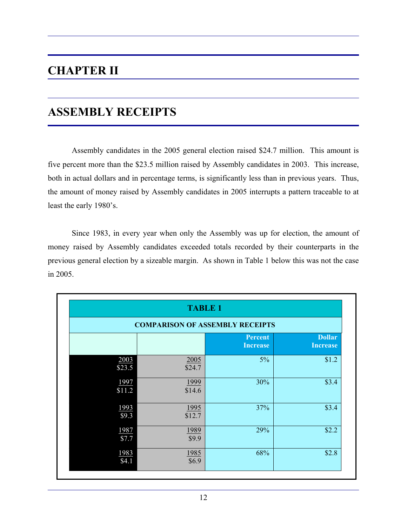# **CHAPTER II**

# **ASSEMBLY RECEIPTS**

 Assembly candidates in the 2005 general election raised \$24.7 million. This amount is five percent more than the \$23.5 million raised by Assembly candidates in 2003. This increase, both in actual dollars and in percentage terms, is significantly less than in previous years. Thus, the amount of money raised by Assembly candidates in 2005 interrupts a pattern traceable to at least the early 1980's.

 Since 1983, in every year when only the Assembly was up for election, the amount of money raised by Assembly candidates exceeded totals recorded by their counterparts in the previous general election by a sizeable margin. As shown in Table 1 below this was not the case in 2005.

|                                        | <b>TABLE 1</b>      |                                   |                                  |
|----------------------------------------|---------------------|-----------------------------------|----------------------------------|
| <b>COMPARISON OF ASSEMBLY RECEIPTS</b> |                     |                                   |                                  |
|                                        |                     | <b>Percent</b><br><b>Increase</b> | <b>Dollar</b><br><b>Increase</b> |
| 2003<br>\$23.5                         | 2005<br>\$24.7      | $5\%$                             | \$1.2                            |
| 1997<br>\$11.2                         | 1999<br>\$14.6      | 30%                               | \$3.4                            |
| 1993<br>\$9.3                          | 1995<br>\$12.7      | 37%                               | \$3.4                            |
| 1987<br>\$7.7                          | 1989<br>\$9.9       | 29%                               | \$2.2                            |
| 1983<br>\$4.1                          | $\frac{1985}{$6.9}$ | 68%                               | \$2.8                            |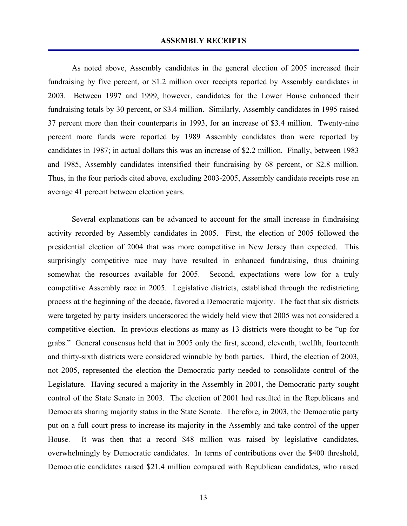As noted above, Assembly candidates in the general election of 2005 increased their fundraising by five percent, or \$1.2 million over receipts reported by Assembly candidates in 2003. Between 1997 and 1999, however, candidates for the Lower House enhanced their fundraising totals by 30 percent, or \$3.4 million. Similarly, Assembly candidates in 1995 raised 37 percent more than their counterparts in 1993, for an increase of \$3.4 million. Twenty-nine percent more funds were reported by 1989 Assembly candidates than were reported by candidates in 1987; in actual dollars this was an increase of \$2.2 million. Finally, between 1983 and 1985, Assembly candidates intensified their fundraising by 68 percent, or \$2.8 million. Thus, in the four periods cited above, excluding 2003-2005, Assembly candidate receipts rose an average 41 percent between election years.

 Several explanations can be advanced to account for the small increase in fundraising activity recorded by Assembly candidates in 2005. First, the election of 2005 followed the presidential election of 2004 that was more competitive in New Jersey than expected. This surprisingly competitive race may have resulted in enhanced fundraising, thus draining somewhat the resources available for 2005. Second, expectations were low for a truly competitive Assembly race in 2005. Legislative districts, established through the redistricting process at the beginning of the decade, favored a Democratic majority. The fact that six districts were targeted by party insiders underscored the widely held view that 2005 was not considered a competitive election. In previous elections as many as 13 districts were thought to be "up for grabs." General consensus held that in 2005 only the first, second, eleventh, twelfth, fourteenth and thirty-sixth districts were considered winnable by both parties. Third, the election of 2003, not 2005, represented the election the Democratic party needed to consolidate control of the Legislature. Having secured a majority in the Assembly in 2001, the Democratic party sought control of the State Senate in 2003. The election of 2001 had resulted in the Republicans and Democrats sharing majority status in the State Senate. Therefore, in 2003, the Democratic party put on a full court press to increase its majority in the Assembly and take control of the upper House. It was then that a record \$48 million was raised by legislative candidates, overwhelmingly by Democratic candidates. In terms of contributions over the \$400 threshold, Democratic candidates raised \$21.4 million compared with Republican candidates, who raised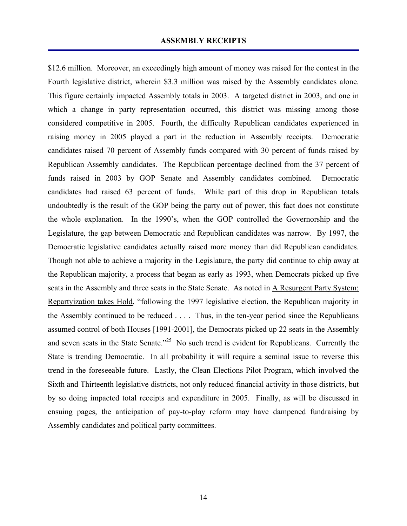\$12.6 million. Moreover, an exceedingly high amount of money was raised for the contest in the Fourth legislative district, wherein \$3.3 million was raised by the Assembly candidates alone. This figure certainly impacted Assembly totals in 2003. A targeted district in 2003, and one in which a change in party representation occurred, this district was missing among those considered competitive in 2005. Fourth, the difficulty Republican candidates experienced in raising money in 2005 played a part in the reduction in Assembly receipts. Democratic candidates raised 70 percent of Assembly funds compared with 30 percent of funds raised by Republican Assembly candidates. The Republican percentage declined from the 37 percent of funds raised in 2003 by GOP Senate and Assembly candidates combined. Democratic candidates had raised 63 percent of funds. While part of this drop in Republican totals undoubtedly is the result of the GOP being the party out of power, this fact does not constitute the whole explanation. In the 1990's, when the GOP controlled the Governorship and the Legislature, the gap between Democratic and Republican candidates was narrow. By 1997, the Democratic legislative candidates actually raised more money than did Republican candidates. Though not able to achieve a majority in the Legislature, the party did continue to chip away at the Republican majority, a process that began as early as 1993, when Democrats picked up five seats in the Assembly and three seats in the State Senate. As noted in A Resurgent Party System: Repartyization takes Hold, "following the 1997 legislative election, the Republican majority in the Assembly continued to be reduced . . . . Thus, in the ten-year period since the Republicans assumed control of both Houses [1991-2001], the Democrats picked up 22 seats in the Assembly and seven seats in the State Senate."<sup>25</sup> No such trend is evident for Republicans. Currently the State is trending Democratic. In all probability it will require a seminal issue to reverse this trend in the foreseeable future. Lastly, the Clean Elections Pilot Program, which involved the Sixth and Thirteenth legislative districts, not only reduced financial activity in those districts, but by so doing impacted total receipts and expenditure in 2005. Finally, as will be discussed in ensuing pages, the anticipation of pay-to-play reform may have dampened fundraising by Assembly candidates and political party committees.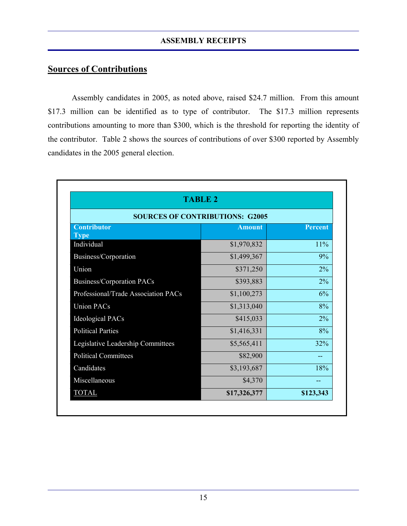# **Sources of Contributions**

 Assembly candidates in 2005, as noted above, raised \$24.7 million. From this amount \$17.3 million can be identified as to type of contributor. The \$17.3 million represents contributions amounting to more than \$300, which is the threshold for reporting the identity of the contributor. Table 2 shows the sources of contributions of over \$300 reported by Assembly candidates in the 2005 general election.

| <b>TABLE 2</b>                         |               |                |  |
|----------------------------------------|---------------|----------------|--|
| <b>SOURCES OF CONTRIBUTIONS: G2005</b> |               |                |  |
| <b>Contributor</b><br><b>Type</b>      | <b>Amount</b> | <b>Percent</b> |  |
| Individual                             | \$1,970,832   | 11%            |  |
| Business/Corporation                   | \$1,499,367   | 9%             |  |
| Union                                  | \$371,250     | 2%             |  |
| <b>Business/Corporation PACs</b>       | \$393,883     | $2\%$          |  |
| Professional/Trade Association PACs    | \$1,100,273   | 6%             |  |
| <b>Union PACs</b>                      | \$1,313,040   | 8%             |  |
| <b>Ideological PACs</b>                | \$415,033     | $2\%$          |  |
| <b>Political Parties</b>               | \$1,416,331   | 8%             |  |
| Legislative Leadership Committees      | \$5,565,411   | 32%            |  |
| <b>Political Committees</b>            | \$82,900      | --             |  |
| Candidates                             | \$3,193,687   | 18%            |  |
| Miscellaneous                          | \$4,370       |                |  |
| <b>TOTAL</b>                           | \$17,326,377  | \$123,343      |  |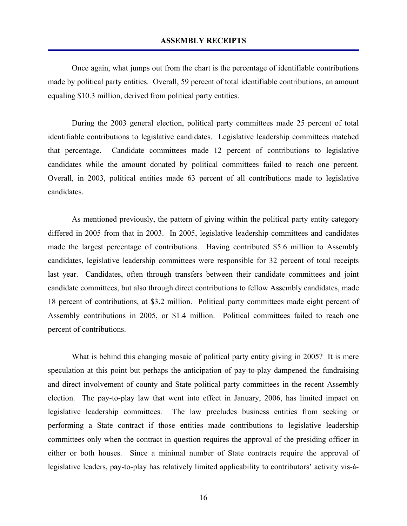Once again, what jumps out from the chart is the percentage of identifiable contributions made by political party entities. Overall, 59 percent of total identifiable contributions, an amount equaling \$10.3 million, derived from political party entities.

 During the 2003 general election, political party committees made 25 percent of total identifiable contributions to legislative candidates. Legislative leadership committees matched that percentage. Candidate committees made 12 percent of contributions to legislative candidates while the amount donated by political committees failed to reach one percent. Overall, in 2003, political entities made 63 percent of all contributions made to legislative candidates.

 As mentioned previously, the pattern of giving within the political party entity category differed in 2005 from that in 2003. In 2005, legislative leadership committees and candidates made the largest percentage of contributions. Having contributed \$5.6 million to Assembly candidates, legislative leadership committees were responsible for 32 percent of total receipts last year. Candidates, often through transfers between their candidate committees and joint candidate committees, but also through direct contributions to fellow Assembly candidates, made 18 percent of contributions, at \$3.2 million. Political party committees made eight percent of Assembly contributions in 2005, or \$1.4 million. Political committees failed to reach one percent of contributions.

 What is behind this changing mosaic of political party entity giving in 2005? It is mere speculation at this point but perhaps the anticipation of pay-to-play dampened the fundraising and direct involvement of county and State political party committees in the recent Assembly election. The pay-to-play law that went into effect in January, 2006, has limited impact on legislative leadership committees. The law precludes business entities from seeking or performing a State contract if those entities made contributions to legislative leadership committees only when the contract in question requires the approval of the presiding officer in either or both houses. Since a minimal number of State contracts require the approval of legislative leaders, pay-to-play has relatively limited applicability to contributors' activity vis-à-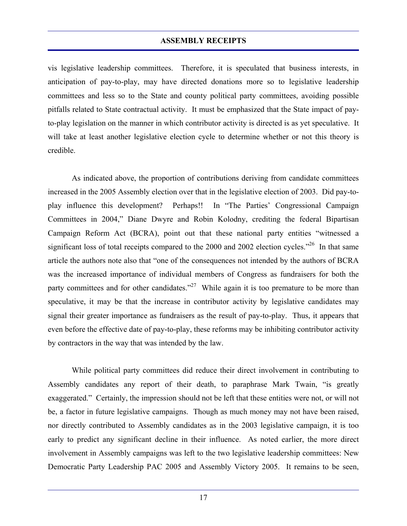vis legislative leadership committees. Therefore, it is speculated that business interests, in anticipation of pay-to-play, may have directed donations more so to legislative leadership committees and less so to the State and county political party committees, avoiding possible pitfalls related to State contractual activity. It must be emphasized that the State impact of payto-play legislation on the manner in which contributor activity is directed is as yet speculative. It will take at least another legislative election cycle to determine whether or not this theory is credible.

 As indicated above, the proportion of contributions deriving from candidate committees increased in the 2005 Assembly election over that in the legislative election of 2003. Did pay-toplay influence this development? Perhaps!! In "The Parties' Congressional Campaign Committees in 2004," Diane Dwyre and Robin Kolodny, crediting the federal Bipartisan Campaign Reform Act (BCRA), point out that these national party entities "witnessed a significant loss of total receipts compared to the 2000 and 2002 election cycles."<sup>26</sup> In that same article the authors note also that "one of the consequences not intended by the authors of BCRA was the increased importance of individual members of Congress as fundraisers for both the party committees and for other candidates."<sup>27</sup> While again it is too premature to be more than speculative, it may be that the increase in contributor activity by legislative candidates may signal their greater importance as fundraisers as the result of pay-to-play. Thus, it appears that even before the effective date of pay-to-play, these reforms may be inhibiting contributor activity by contractors in the way that was intended by the law.

 While political party committees did reduce their direct involvement in contributing to Assembly candidates any report of their death, to paraphrase Mark Twain, "is greatly exaggerated." Certainly, the impression should not be left that these entities were not, or will not be, a factor in future legislative campaigns. Though as much money may not have been raised, nor directly contributed to Assembly candidates as in the 2003 legislative campaign, it is too early to predict any significant decline in their influence. As noted earlier, the more direct involvement in Assembly campaigns was left to the two legislative leadership committees: New Democratic Party Leadership PAC 2005 and Assembly Victory 2005. It remains to be seen,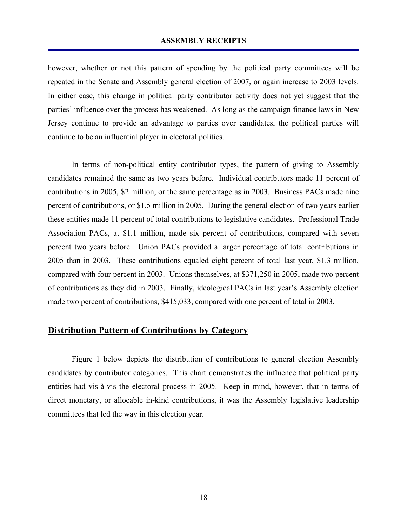however, whether or not this pattern of spending by the political party committees will be repeated in the Senate and Assembly general election of 2007, or again increase to 2003 levels. In either case, this change in political party contributor activity does not yet suggest that the parties' influence over the process has weakened. As long as the campaign finance laws in New Jersey continue to provide an advantage to parties over candidates, the political parties will continue to be an influential player in electoral politics.

 In terms of non-political entity contributor types, the pattern of giving to Assembly candidates remained the same as two years before. Individual contributors made 11 percent of contributions in 2005, \$2 million, or the same percentage as in 2003. Business PACs made nine percent of contributions, or \$1.5 million in 2005. During the general election of two years earlier these entities made 11 percent of total contributions to legislative candidates. Professional Trade Association PACs, at \$1.1 million, made six percent of contributions, compared with seven percent two years before. Union PACs provided a larger percentage of total contributions in 2005 than in 2003. These contributions equaled eight percent of total last year, \$1.3 million, compared with four percent in 2003. Unions themselves, at \$371,250 in 2005, made two percent of contributions as they did in 2003. Finally, ideological PACs in last year's Assembly election made two percent of contributions, \$415,033, compared with one percent of total in 2003.

# **Distribution Pattern of Contributions by Category**

 Figure 1 below depicts the distribution of contributions to general election Assembly candidates by contributor categories. This chart demonstrates the influence that political party entities had vis-à-vis the electoral process in 2005. Keep in mind, however, that in terms of direct monetary, or allocable in-kind contributions, it was the Assembly legislative leadership committees that led the way in this election year.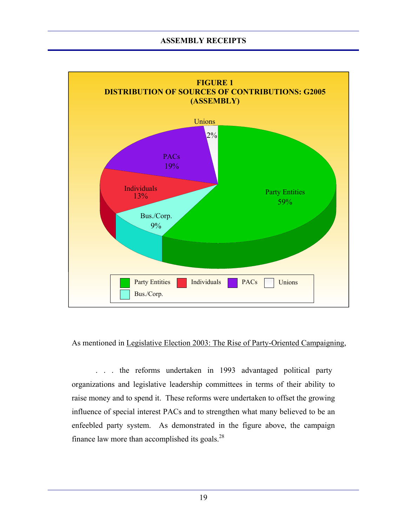

### As mentioned in Legislative Election 2003: The Rise of Party-Oriented Campaigning,

. . . the reforms undertaken in 1993 advantaged political party organizations and legislative leadership committees in terms of their ability to raise money and to spend it. These reforms were undertaken to offset the growing influence of special interest PACs and to strengthen what many believed to be an enfeebled party system. As demonstrated in the figure above, the campaign finance law more than accomplished its goals. $^{28}$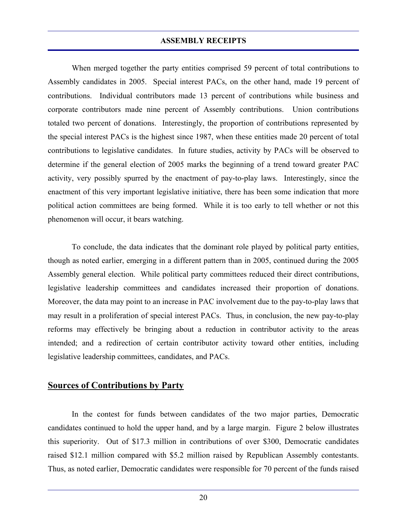When merged together the party entities comprised 59 percent of total contributions to Assembly candidates in 2005. Special interest PACs, on the other hand, made 19 percent of contributions. Individual contributors made 13 percent of contributions while business and corporate contributors made nine percent of Assembly contributions. Union contributions totaled two percent of donations. Interestingly, the proportion of contributions represented by the special interest PACs is the highest since 1987, when these entities made 20 percent of total contributions to legislative candidates. In future studies, activity by PACs will be observed to determine if the general election of 2005 marks the beginning of a trend toward greater PAC activity, very possibly spurred by the enactment of pay-to-play laws. Interestingly, since the enactment of this very important legislative initiative, there has been some indication that more political action committees are being formed. While it is too early to tell whether or not this phenomenon will occur, it bears watching.

 To conclude, the data indicates that the dominant role played by political party entities, though as noted earlier, emerging in a different pattern than in 2005, continued during the 2005 Assembly general election. While political party committees reduced their direct contributions, legislative leadership committees and candidates increased their proportion of donations. Moreover, the data may point to an increase in PAC involvement due to the pay-to-play laws that may result in a proliferation of special interest PACs. Thus, in conclusion, the new pay-to-play reforms may effectively be bringing about a reduction in contributor activity to the areas intended; and a redirection of certain contributor activity toward other entities, including legislative leadership committees, candidates, and PACs.

# **Sources of Contributions by Party**

 In the contest for funds between candidates of the two major parties, Democratic candidates continued to hold the upper hand, and by a large margin. Figure 2 below illustrates this superiority. Out of \$17.3 million in contributions of over \$300, Democratic candidates raised \$12.1 million compared with \$5.2 million raised by Republican Assembly contestants. Thus, as noted earlier, Democratic candidates were responsible for 70 percent of the funds raised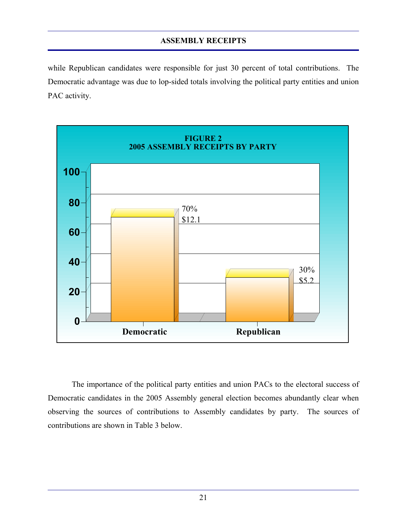while Republican candidates were responsible for just 30 percent of total contributions. The Democratic advantage was due to lop-sided totals involving the political party entities and union PAC activity.



 The importance of the political party entities and union PACs to the electoral success of Democratic candidates in the 2005 Assembly general election becomes abundantly clear when observing the sources of contributions to Assembly candidates by party. The sources of contributions are shown in Table 3 below.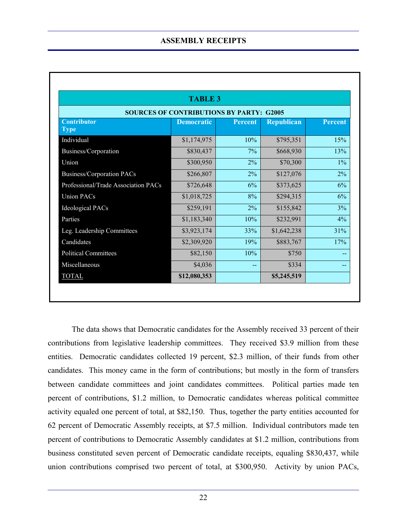|                                     | <b>TABLE 3</b>                                  |                |                   |                |
|-------------------------------------|-------------------------------------------------|----------------|-------------------|----------------|
|                                     | <b>SOURCES OF CONTRIBUTIONS BY PARTY: G2005</b> |                |                   |                |
| <b>Contributor</b><br><b>Type</b>   | <b>Democratic</b>                               | <b>Percent</b> | <b>Republican</b> | <b>Percent</b> |
| Individual                          | \$1,174,975                                     | 10%            | \$795,351         | 15%            |
| Business/Corporation                | \$830,437                                       | $7\%$          | \$668,930         | 13%            |
| Union                               | \$300,950                                       | 2%             | \$70,300          | $1\%$          |
| <b>Business/Corporation PACs</b>    | \$266,807                                       | 2%             | \$127,076         | 2%             |
| Professional/Trade Association PACs | \$726,648                                       | 6%             | \$373,625         | 6%             |
| <b>Union PACs</b>                   | \$1,018,725                                     | 8%             | \$294,315         | 6%             |
| <b>Ideological PACs</b>             | \$259,191                                       | 2%             | \$155,842         | 3%             |
| Parties                             | \$1,183,340                                     | 10%            | \$232,991         | $4\%$          |
| Leg. Leadership Committees          | \$3,923,174                                     | 33%            | \$1,642,238       | 31%            |
| Candidates                          | \$2,309,920                                     | 19%            | \$883,767         | 17%            |
| <b>Political Committees</b>         | \$82,150                                        | 10%            | \$750             |                |
| Miscellaneous                       | \$4,036                                         |                | \$334             |                |
| <b>TOTAL</b>                        | \$12,080,353                                    |                | \$5,245,519       |                |

 The data shows that Democratic candidates for the Assembly received 33 percent of their contributions from legislative leadership committees. They received \$3.9 million from these entities. Democratic candidates collected 19 percent, \$2.3 million, of their funds from other candidates. This money came in the form of contributions; but mostly in the form of transfers between candidate committees and joint candidates committees. Political parties made ten percent of contributions, \$1.2 million, to Democratic candidates whereas political committee activity equaled one percent of total, at \$82,150. Thus, together the party entities accounted for 62 percent of Democratic Assembly receipts, at \$7.5 million. Individual contributors made ten percent of contributions to Democratic Assembly candidates at \$1.2 million, contributions from business constituted seven percent of Democratic candidate receipts, equaling \$830,437, while union contributions comprised two percent of total, at \$300,950. Activity by union PACs,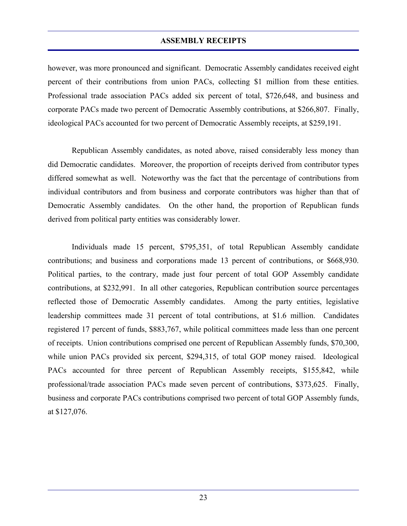however, was more pronounced and significant. Democratic Assembly candidates received eight percent of their contributions from union PACs, collecting \$1 million from these entities. Professional trade association PACs added six percent of total, \$726,648, and business and corporate PACs made two percent of Democratic Assembly contributions, at \$266,807. Finally, ideological PACs accounted for two percent of Democratic Assembly receipts, at \$259,191.

 Republican Assembly candidates, as noted above, raised considerably less money than did Democratic candidates. Moreover, the proportion of receipts derived from contributor types differed somewhat as well. Noteworthy was the fact that the percentage of contributions from individual contributors and from business and corporate contributors was higher than that of Democratic Assembly candidates. On the other hand, the proportion of Republican funds derived from political party entities was considerably lower.

 Individuals made 15 percent, \$795,351, of total Republican Assembly candidate contributions; and business and corporations made 13 percent of contributions, or \$668,930. Political parties, to the contrary, made just four percent of total GOP Assembly candidate contributions, at \$232,991. In all other categories, Republican contribution source percentages reflected those of Democratic Assembly candidates. Among the party entities, legislative leadership committees made 31 percent of total contributions, at \$1.6 million. Candidates registered 17 percent of funds, \$883,767, while political committees made less than one percent of receipts. Union contributions comprised one percent of Republican Assembly funds, \$70,300, while union PACs provided six percent, \$294,315, of total GOP money raised. Ideological PACs accounted for three percent of Republican Assembly receipts, \$155,842, while professional/trade association PACs made seven percent of contributions, \$373,625. Finally, business and corporate PACs contributions comprised two percent of total GOP Assembly funds, at \$127,076.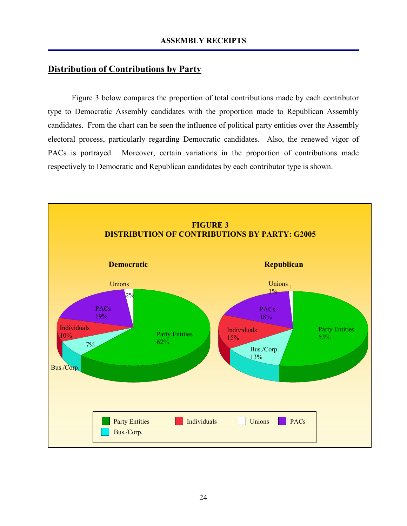# **Distribution of Contributions by Party**

 Figure 3 below compares the proportion of total contributions made by each contributor type to Democratic Assembly candidates with the proportion made to Republican Assembly candidates. From the chart can be seen the influence of political party entities over the Assembly electoral process, particularly regarding Democratic candidates. Also, the renewed vigor of PACs is portrayed. Moreover, certain variations in the proportion of contributions made respectively to Democratic and Republican candidates by each contributor type is shown.

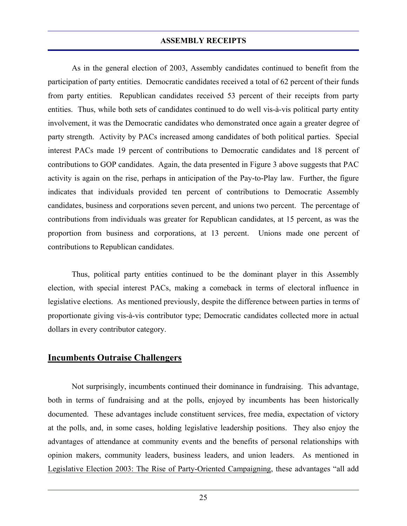As in the general election of 2003, Assembly candidates continued to benefit from the participation of party entities. Democratic candidates received a total of 62 percent of their funds from party entities. Republican candidates received 53 percent of their receipts from party entities. Thus, while both sets of candidates continued to do well vis-à-vis political party entity involvement, it was the Democratic candidates who demonstrated once again a greater degree of party strength. Activity by PACs increased among candidates of both political parties. Special interest PACs made 19 percent of contributions to Democratic candidates and 18 percent of contributions to GOP candidates. Again, the data presented in Figure 3 above suggests that PAC activity is again on the rise, perhaps in anticipation of the Pay-to-Play law. Further, the figure indicates that individuals provided ten percent of contributions to Democratic Assembly candidates, business and corporations seven percent, and unions two percent. The percentage of contributions from individuals was greater for Republican candidates, at 15 percent, as was the proportion from business and corporations, at 13 percent. Unions made one percent of contributions to Republican candidates.

 Thus, political party entities continued to be the dominant player in this Assembly election, with special interest PACs, making a comeback in terms of electoral influence in legislative elections. As mentioned previously, despite the difference between parties in terms of proportionate giving vis-à-vis contributor type; Democratic candidates collected more in actual dollars in every contributor category.

# **Incumbents Outraise Challengers**

 Not surprisingly, incumbents continued their dominance in fundraising. This advantage, both in terms of fundraising and at the polls, enjoyed by incumbents has been historically documented. These advantages include constituent services, free media, expectation of victory at the polls, and, in some cases, holding legislative leadership positions. They also enjoy the advantages of attendance at community events and the benefits of personal relationships with opinion makers, community leaders, business leaders, and union leaders. As mentioned in Legislative Election 2003: The Rise of Party-Oriented Campaigning, these advantages "all add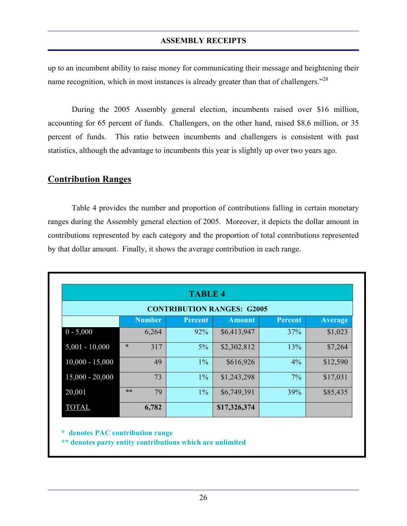up to an incumbent ability to raise money for communicating their message and heightening their name recognition, which in most instances is already greater than that of challengers."<sup>28</sup>

 During the 2005 Assembly general election, incumbents raised over \$16 million, accounting for 65 percent of funds. Challengers, on the other hand, raised \$8.6 million, or 35 percent of funds. This ratio between incumbents and challengers is consistent with past statistics, although the advantage to incumbents this year is slightly up over two years ago.

# **Contribution Ranges**

 Table 4 provides the number and proportion of contributions falling in certain monetary ranges during the Assembly general election of 2005. Moreover, it depicts the dollar amount in contributions represented by each category and the proportion of total contributions represented by that dollar amount. Finally, it shows the average contribution in each range.

|                   | <b>TABLE 4</b> |               |                |                                   |                |                |
|-------------------|----------------|---------------|----------------|-----------------------------------|----------------|----------------|
|                   |                |               |                | <b>CONTRIBUTION RANGES: G2005</b> |                |                |
|                   |                | <b>Number</b> | <b>Percent</b> | <b>Amount</b>                     | <b>Percent</b> | <b>Average</b> |
| $0 - 5,000$       |                | 6,264         | 92%            | \$6,413,947                       | 37%            | \$1,023        |
| $5,001 - 10,000$  | $\ast$         | 317           | $5\%$          | \$2,302,812                       | 13%            | \$7,264        |
| $10,000 - 15,000$ |                | 49            | $1\%$          | \$616,926                         | 4%             | \$12,590       |
| $15,000 - 20,000$ |                | 73            | $1\%$          | \$1,243,298                       | 7%             | \$17,031       |
| 20,001            | $**$           | 79            | $1\%$          | \$6,749,391                       | 39%            | \$85,435       |
| <b>TOTAL</b>      |                | 6,782         |                | \$17,326,374                      |                |                |

**\* denotes PAC contribution range**

**\*\* denotes party entity contributions which are unlimited**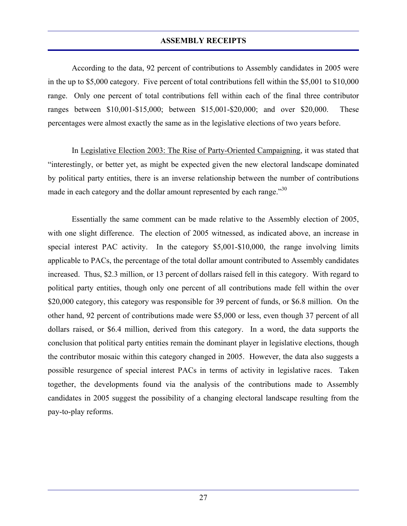According to the data, 92 percent of contributions to Assembly candidates in 2005 were in the up to \$5,000 category. Five percent of total contributions fell within the \$5,001 to \$10,000 range. Only one percent of total contributions fell within each of the final three contributor ranges between \$10,001-\$15,000; between \$15,001-\$20,000; and over \$20,000. These percentages were almost exactly the same as in the legislative elections of two years before.

 In Legislative Election 2003: The Rise of Party-Oriented Campaigning, it was stated that "interestingly, or better yet, as might be expected given the new electoral landscape dominated by political party entities, there is an inverse relationship between the number of contributions made in each category and the dollar amount represented by each range."<sup>30</sup>

 Essentially the same comment can be made relative to the Assembly election of 2005, with one slight difference. The election of 2005 witnessed, as indicated above, an increase in special interest PAC activity. In the category \$5,001-\$10,000, the range involving limits applicable to PACs, the percentage of the total dollar amount contributed to Assembly candidates increased. Thus, \$2.3 million, or 13 percent of dollars raised fell in this category. With regard to political party entities, though only one percent of all contributions made fell within the over \$20,000 category, this category was responsible for 39 percent of funds, or \$6.8 million. On the other hand, 92 percent of contributions made were \$5,000 or less, even though 37 percent of all dollars raised, or \$6.4 million, derived from this category. In a word, the data supports the conclusion that political party entities remain the dominant player in legislative elections, though the contributor mosaic within this category changed in 2005. However, the data also suggests a possible resurgence of special interest PACs in terms of activity in legislative races. Taken together, the developments found via the analysis of the contributions made to Assembly candidates in 2005 suggest the possibility of a changing electoral landscape resulting from the pay-to-play reforms.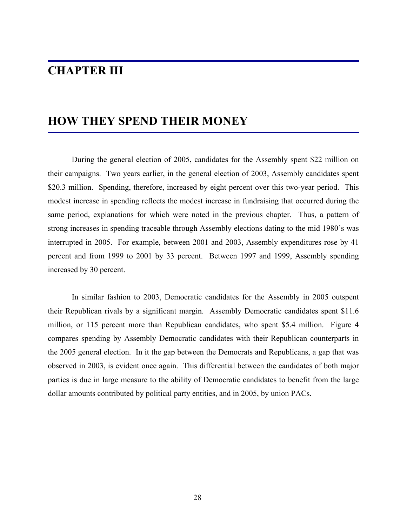# **CHAPTER III**

# **HOW THEY SPEND THEIR MONEY**

 During the general election of 2005, candidates for the Assembly spent \$22 million on their campaigns. Two years earlier, in the general election of 2003, Assembly candidates spent \$20.3 million. Spending, therefore, increased by eight percent over this two-year period. This modest increase in spending reflects the modest increase in fundraising that occurred during the same period, explanations for which were noted in the previous chapter. Thus, a pattern of strong increases in spending traceable through Assembly elections dating to the mid 1980's was interrupted in 2005. For example, between 2001 and 2003, Assembly expenditures rose by 41 percent and from 1999 to 2001 by 33 percent. Between 1997 and 1999, Assembly spending increased by 30 percent.

 In similar fashion to 2003, Democratic candidates for the Assembly in 2005 outspent their Republican rivals by a significant margin. Assembly Democratic candidates spent \$11.6 million, or 115 percent more than Republican candidates, who spent \$5.4 million. Figure 4 compares spending by Assembly Democratic candidates with their Republican counterparts in the 2005 general election. In it the gap between the Democrats and Republicans, a gap that was observed in 2003, is evident once again. This differential between the candidates of both major parties is due in large measure to the ability of Democratic candidates to benefit from the large dollar amounts contributed by political party entities, and in 2005, by union PACs.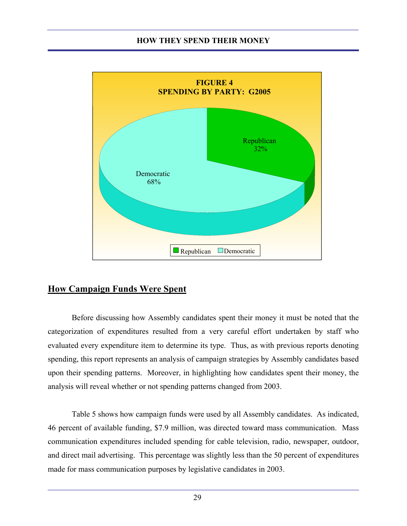

# **How Campaign Funds Were Spent**

 Before discussing how Assembly candidates spent their money it must be noted that the categorization of expenditures resulted from a very careful effort undertaken by staff who evaluated every expenditure item to determine its type. Thus, as with previous reports denoting spending, this report represents an analysis of campaign strategies by Assembly candidates based upon their spending patterns. Moreover, in highlighting how candidates spent their money, the analysis will reveal whether or not spending patterns changed from 2003.

 Table 5 shows how campaign funds were used by all Assembly candidates. As indicated, 46 percent of available funding, \$7.9 million, was directed toward mass communication. Mass communication expenditures included spending for cable television, radio, newspaper, outdoor, and direct mail advertising. This percentage was slightly less than the 50 percent of expenditures made for mass communication purposes by legislative candidates in 2003.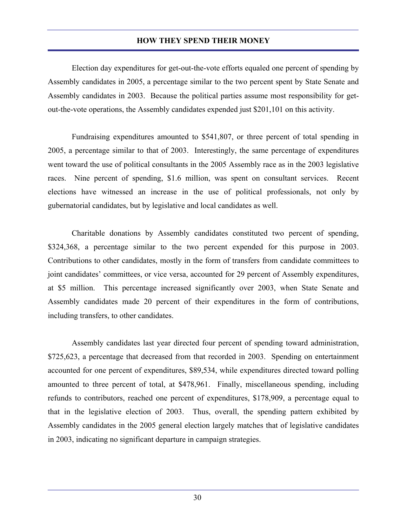Election day expenditures for get-out-the-vote efforts equaled one percent of spending by Assembly candidates in 2005, a percentage similar to the two percent spent by State Senate and Assembly candidates in 2003. Because the political parties assume most responsibility for getout-the-vote operations, the Assembly candidates expended just \$201,101 on this activity.

 Fundraising expenditures amounted to \$541,807, or three percent of total spending in 2005, a percentage similar to that of 2003. Interestingly, the same percentage of expenditures went toward the use of political consultants in the 2005 Assembly race as in the 2003 legislative races. Nine percent of spending, \$1.6 million, was spent on consultant services. Recent elections have witnessed an increase in the use of political professionals, not only by gubernatorial candidates, but by legislative and local candidates as well.

 Charitable donations by Assembly candidates constituted two percent of spending, \$324,368, a percentage similar to the two percent expended for this purpose in 2003. Contributions to other candidates, mostly in the form of transfers from candidate committees to joint candidates' committees, or vice versa, accounted for 29 percent of Assembly expenditures, at \$5 million. This percentage increased significantly over 2003, when State Senate and Assembly candidates made 20 percent of their expenditures in the form of contributions, including transfers, to other candidates.

 Assembly candidates last year directed four percent of spending toward administration, \$725,623, a percentage that decreased from that recorded in 2003. Spending on entertainment accounted for one percent of expenditures, \$89,534, while expenditures directed toward polling amounted to three percent of total, at \$478,961. Finally, miscellaneous spending, including refunds to contributors, reached one percent of expenditures, \$178,909, a percentage equal to that in the legislative election of 2003. Thus, overall, the spending pattern exhibited by Assembly candidates in the 2005 general election largely matches that of legislative candidates in 2003, indicating no significant departure in campaign strategies.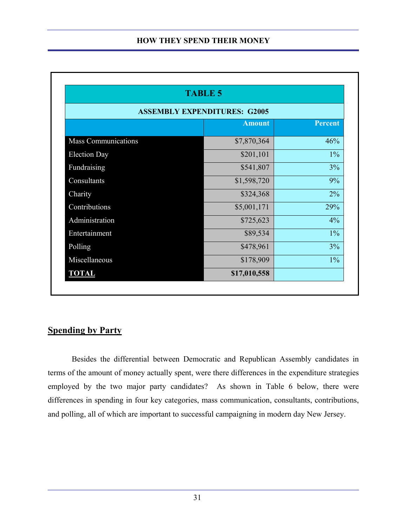|                            | <b>TABLE 5</b>                      |                |
|----------------------------|-------------------------------------|----------------|
|                            | <b>ASSEMBLY EXPENDITURES: G2005</b> |                |
|                            | <b>Amount</b>                       | <b>Percent</b> |
| <b>Mass Communications</b> | \$7,870,364                         | 46%            |
| <b>Election Day</b>        | \$201,101                           | $1\%$          |
| Fundraising                | \$541,807                           | 3%             |
| Consultants                | \$1,598,720                         | 9%             |
| Charity                    | \$324,368                           | $2\%$          |
| Contributions              | \$5,001,171                         | 29%            |
| Administration             | \$725,623                           | 4%             |
| Entertainment              | \$89,534                            | $1\%$          |
| Polling                    | \$478,961                           | 3%             |
| Miscellaneous              | \$178,909                           | $1\%$          |
| <b>TOTAL</b>               | \$17,010,558                        |                |

# **Spending by Party**

 Besides the differential between Democratic and Republican Assembly candidates in terms of the amount of money actually spent, were there differences in the expenditure strategies employed by the two major party candidates? As shown in Table 6 below, there were differences in spending in four key categories, mass communication, consultants, contributions, and polling, all of which are important to successful campaigning in modern day New Jersey.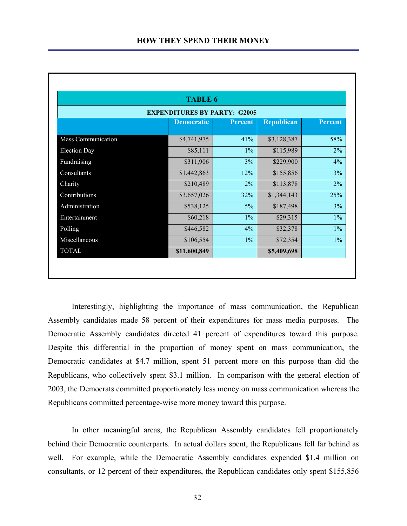|                     | <b>TABLE 6</b>                      |                |                   |                |
|---------------------|-------------------------------------|----------------|-------------------|----------------|
|                     | <b>EXPENDITURES BY PARTY: G2005</b> |                |                   |                |
|                     | <b>Democratic</b>                   | <b>Percent</b> | <b>Republican</b> | <b>Percent</b> |
| Mass Communication  | \$4,741,975                         | 41%            | \$3,128,387       | 58%            |
| <b>Election Day</b> | \$85,111                            | $1\%$          | \$115,989         | 2%             |
| Fundraising         | \$311,906                           | 3%             | \$229,900         | $4\%$          |
| Consultants         | \$1,442,863                         | 12%            | \$155,856         | 3%             |
| Charity             | \$210,489                           | 2%             | \$113,878         | 2%             |
| Contributions       | \$3,657,026                         | 32%            | \$1,344,143       | 25%            |
| Administration      | \$538,125                           | $5\%$          | \$187,498         | 3%             |
| Entertainment       | \$60,218                            | $1\%$          | \$29,315          | $1\%$          |
| Polling             | \$446,582                           | $4\%$          | \$32,378          | $1\%$          |
| Miscellaneous       | \$106,554                           | $1\%$          | \$72,354          | $1\%$          |
| <b>TOTAL</b>        | \$11,600,849                        |                | \$5,409,698       |                |

 Interestingly, highlighting the importance of mass communication, the Republican Assembly candidates made 58 percent of their expenditures for mass media purposes. The Democratic Assembly candidates directed 41 percent of expenditures toward this purpose. Despite this differential in the proportion of money spent on mass communication, the Democratic candidates at \$4.7 million, spent 51 percent more on this purpose than did the Republicans, who collectively spent \$3.1 million. In comparison with the general election of 2003, the Democrats committed proportionately less money on mass communication whereas the Republicans committed percentage-wise more money toward this purpose.

 In other meaningful areas, the Republican Assembly candidates fell proportionately behind their Democratic counterparts. In actual dollars spent, the Republicans fell far behind as well. For example, while the Democratic Assembly candidates expended \$1.4 million on consultants, or 12 percent of their expenditures, the Republican candidates only spent \$155,856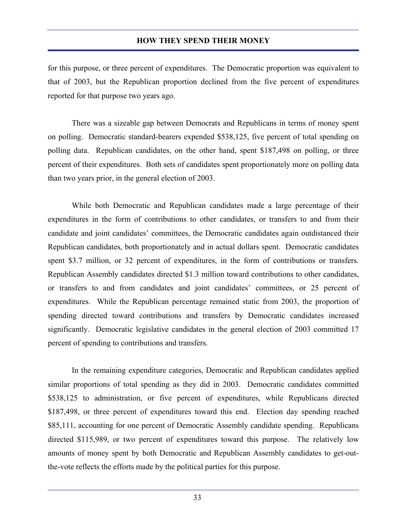for this purpose, or three percent of expenditures. The Democratic proportion was equivalent to that of 2003, but the Republican proportion declined from the five percent of expenditures reported for that purpose two years ago.

 There was a sizeable gap between Democrats and Republicans in terms of money spent on polling. Democratic standard-bearers expended \$538,125, five percent of total spending on polling data. Republican candidates, on the other hand, spent \$187,498 on polling, or three percent of their expenditures. Both sets of candidates spent proportionately more on polling data than two years prior, in the general election of 2003.

 While both Democratic and Republican candidates made a large percentage of their expenditures in the form of contributions to other candidates, or transfers to and from their candidate and joint candidates' committees, the Democratic candidates again outdistanced their Republican candidates, both proportionately and in actual dollars spent. Democratic candidates spent \$3.7 million, or 32 percent of expenditures, in the form of contributions or transfers. Republican Assembly candidates directed \$1.3 million toward contributions to other candidates, or transfers to and from candidates and joint candidates' committees, or 25 percent of expenditures. While the Republican percentage remained static from 2003, the proportion of spending directed toward contributions and transfers by Democratic candidates increased significantly. Democratic legislative candidates in the general election of 2003 committed 17 percent of spending to contributions and transfers.

 In the remaining expenditure categories, Democratic and Republican candidates applied similar proportions of total spending as they did in 2003. Democratic candidates committed \$538,125 to administration, or five percent of expenditures, while Republicans directed \$187,498, or three percent of expenditures toward this end. Election day spending reached \$85,111, accounting for one percent of Democratic Assembly candidate spending. Republicans directed \$115,989, or two percent of expenditures toward this purpose. The relatively low amounts of money spent by both Democratic and Republican Assembly candidates to get-outthe-vote reflects the efforts made by the political parties for this purpose.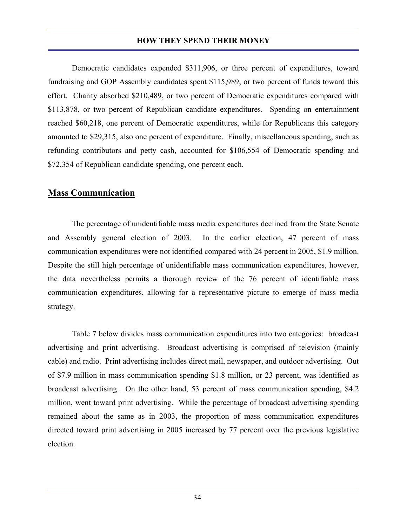Democratic candidates expended \$311,906, or three percent of expenditures, toward fundraising and GOP Assembly candidates spent \$115,989, or two percent of funds toward this effort. Charity absorbed \$210,489, or two percent of Democratic expenditures compared with \$113,878, or two percent of Republican candidate expenditures. Spending on entertainment reached \$60,218, one percent of Democratic expenditures, while for Republicans this category amounted to \$29,315, also one percent of expenditure. Finally, miscellaneous spending, such as refunding contributors and petty cash, accounted for \$106,554 of Democratic spending and \$72,354 of Republican candidate spending, one percent each.

# **Mass Communication**

 The percentage of unidentifiable mass media expenditures declined from the State Senate and Assembly general election of 2003. In the earlier election, 47 percent of mass communication expenditures were not identified compared with 24 percent in 2005, \$1.9 million. Despite the still high percentage of unidentifiable mass communication expenditures, however, the data nevertheless permits a thorough review of the 76 percent of identifiable mass communication expenditures, allowing for a representative picture to emerge of mass media strategy.

 Table 7 below divides mass communication expenditures into two categories: broadcast advertising and print advertising. Broadcast advertising is comprised of television (mainly cable) and radio. Print advertising includes direct mail, newspaper, and outdoor advertising. Out of \$7.9 million in mass communication spending \$1.8 million, or 23 percent, was identified as broadcast advertising. On the other hand, 53 percent of mass communication spending, \$4.2 million, went toward print advertising. While the percentage of broadcast advertising spending remained about the same as in 2003, the proportion of mass communication expenditures directed toward print advertising in 2005 increased by 77 percent over the previous legislative election.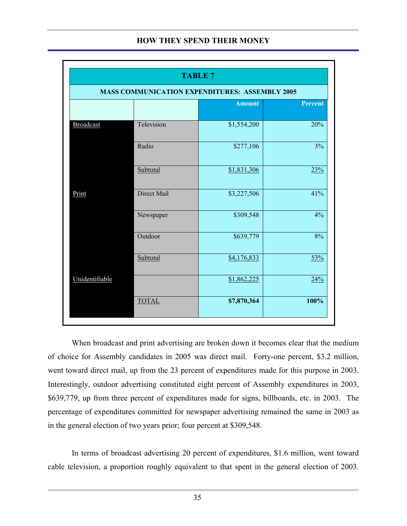|                  |              | <b>TABLE 7</b>                                        |         |
|------------------|--------------|-------------------------------------------------------|---------|
|                  |              | <b>MASS COMMUNICATION EXPENDITURES: ASSEMBLY 2005</b> |         |
|                  |              | <b>Amount</b>                                         | Percent |
| <b>Broadcast</b> | Television   | \$1,554,200                                           | 20%     |
|                  | Radio        | \$277,106                                             | 3%      |
|                  | Subtotal     | \$1,831,306                                           | 23%     |
| Print            | Direct Mail  | \$3,227,506                                           | 41%     |
|                  | Newspaper    | \$309,548                                             | 4%      |
|                  | Outdoor      | \$639,779                                             | 8%      |
|                  | Subtotal     | \$4,176,833                                           | 53%     |
| Unidentifiable   |              | \$1,862,225                                           | 24%     |
|                  | <b>TOTAL</b> | \$7,870,364                                           | 100%    |
|                  |              |                                                       |         |

 When broadcast and print advertising are broken down it becomes clear that the medium of choice for Assembly candidates in 2005 was direct mail. Forty-one percent, \$3.2 million, went toward direct mail, up from the 23 percent of expenditures made for this purpose in 2003. Interestingly, outdoor advertising constituted eight percent of Assembly expenditures in 2003, \$639,779, up from three percent of expenditures made for signs, billboards, etc. in 2003. The percentage of expenditures committed for newspaper advertising remained the same in 2003 as in the general election of two years prior; four percent at \$309,548.

 In terms of broadcast advertising 20 percent of expenditures, \$1.6 million, went toward cable television, a proportion roughly equivalent to that spent in the general election of 2003.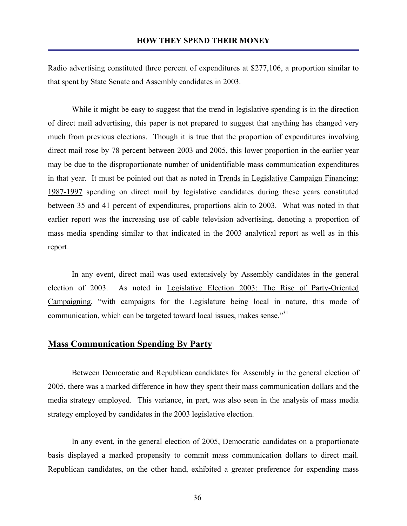Radio advertising constituted three percent of expenditures at \$277,106, a proportion similar to that spent by State Senate and Assembly candidates in 2003.

 While it might be easy to suggest that the trend in legislative spending is in the direction of direct mail advertising, this paper is not prepared to suggest that anything has changed very much from previous elections. Though it is true that the proportion of expenditures involving direct mail rose by 78 percent between 2003 and 2005, this lower proportion in the earlier year may be due to the disproportionate number of unidentifiable mass communication expenditures in that year. It must be pointed out that as noted in Trends in Legislative Campaign Financing: 1987-1997 spending on direct mail by legislative candidates during these years constituted between 35 and 41 percent of expenditures, proportions akin to 2003. What was noted in that earlier report was the increasing use of cable television advertising, denoting a proportion of mass media spending similar to that indicated in the 2003 analytical report as well as in this report.

 In any event, direct mail was used extensively by Assembly candidates in the general election of 2003. As noted in Legislative Election 2003: The Rise of Party-Oriented Campaigning, "with campaigns for the Legislature being local in nature, this mode of communication, which can be targeted toward local issues, makes sense."<sup>31</sup>

# **Mass Communication Spending By Party**

 Between Democratic and Republican candidates for Assembly in the general election of 2005, there was a marked difference in how they spent their mass communication dollars and the media strategy employed. This variance, in part, was also seen in the analysis of mass media strategy employed by candidates in the 2003 legislative election.

 In any event, in the general election of 2005, Democratic candidates on a proportionate basis displayed a marked propensity to commit mass communication dollars to direct mail. Republican candidates, on the other hand, exhibited a greater preference for expending mass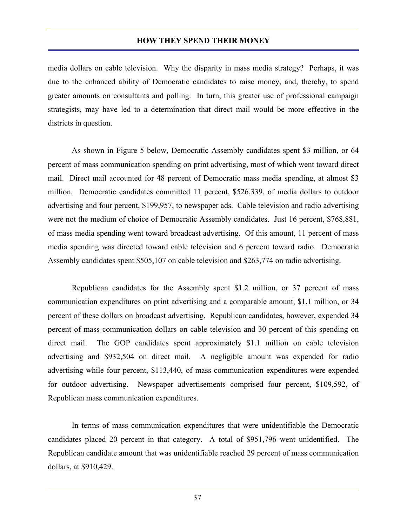media dollars on cable television. Why the disparity in mass media strategy? Perhaps, it was due to the enhanced ability of Democratic candidates to raise money, and, thereby, to spend greater amounts on consultants and polling. In turn, this greater use of professional campaign strategists, may have led to a determination that direct mail would be more effective in the districts in question.

 As shown in Figure 5 below, Democratic Assembly candidates spent \$3 million, or 64 percent of mass communication spending on print advertising, most of which went toward direct mail. Direct mail accounted for 48 percent of Democratic mass media spending, at almost \$3 million. Democratic candidates committed 11 percent, \$526,339, of media dollars to outdoor advertising and four percent, \$199,957, to newspaper ads. Cable television and radio advertising were not the medium of choice of Democratic Assembly candidates. Just 16 percent, \$768,881, of mass media spending went toward broadcast advertising. Of this amount, 11 percent of mass media spending was directed toward cable television and 6 percent toward radio. Democratic Assembly candidates spent \$505,107 on cable television and \$263,774 on radio advertising.

 Republican candidates for the Assembly spent \$1.2 million, or 37 percent of mass communication expenditures on print advertising and a comparable amount, \$1.1 million, or 34 percent of these dollars on broadcast advertising. Republican candidates, however, expended 34 percent of mass communication dollars on cable television and 30 percent of this spending on direct mail. The GOP candidates spent approximately \$1.1 million on cable television advertising and \$932,504 on direct mail. A negligible amount was expended for radio advertising while four percent, \$113,440, of mass communication expenditures were expended for outdoor advertising. Newspaper advertisements comprised four percent, \$109,592, of Republican mass communication expenditures.

 In terms of mass communication expenditures that were unidentifiable the Democratic candidates placed 20 percent in that category. A total of \$951,796 went unidentified. The Republican candidate amount that was unidentifiable reached 29 percent of mass communication dollars, at \$910,429.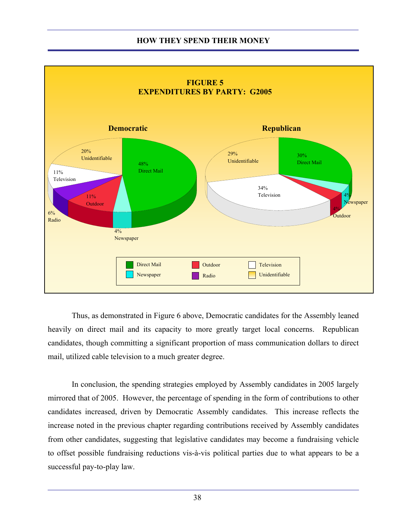

 Thus, as demonstrated in Figure 6 above, Democratic candidates for the Assembly leaned heavily on direct mail and its capacity to more greatly target local concerns. Republican candidates, though committing a significant proportion of mass communication dollars to direct mail, utilized cable television to a much greater degree.

 In conclusion, the spending strategies employed by Assembly candidates in 2005 largely mirrored that of 2005. However, the percentage of spending in the form of contributions to other candidates increased, driven by Democratic Assembly candidates. This increase reflects the increase noted in the previous chapter regarding contributions received by Assembly candidates from other candidates, suggesting that legislative candidates may become a fundraising vehicle to offset possible fundraising reductions vis-à-vis political parties due to what appears to be a successful pay-to-play law.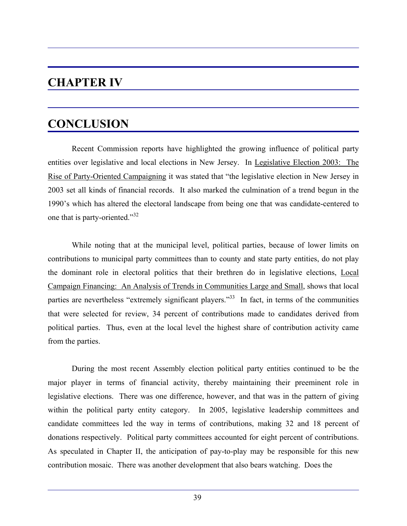# **CHAPTER IV**

# **CONCLUSION**

 Recent Commission reports have highlighted the growing influence of political party entities over legislative and local elections in New Jersey. In Legislative Election 2003: The Rise of Party-Oriented Campaigning it was stated that "the legislative election in New Jersey in 2003 set all kinds of financial records. It also marked the culmination of a trend begun in the 1990's which has altered the electoral landscape from being one that was candidate-centered to one that is party-oriented."<sup>32</sup>

 While noting that at the municipal level, political parties, because of lower limits on contributions to municipal party committees than to county and state party entities, do not play the dominant role in electoral politics that their brethren do in legislative elections, Local Campaign Financing: An Analysis of Trends in Communities Large and Small, shows that local parties are nevertheless "extremely significant players."<sup>33</sup> In fact, in terms of the communities that were selected for review, 34 percent of contributions made to candidates derived from political parties. Thus, even at the local level the highest share of contribution activity came from the parties.

 During the most recent Assembly election political party entities continued to be the major player in terms of financial activity, thereby maintaining their preeminent role in legislative elections. There was one difference, however, and that was in the pattern of giving within the political party entity category. In 2005, legislative leadership committees and candidate committees led the way in terms of contributions, making 32 and 18 percent of donations respectively. Political party committees accounted for eight percent of contributions. As speculated in Chapter II, the anticipation of pay-to-play may be responsible for this new contribution mosaic. There was another development that also bears watching. Does the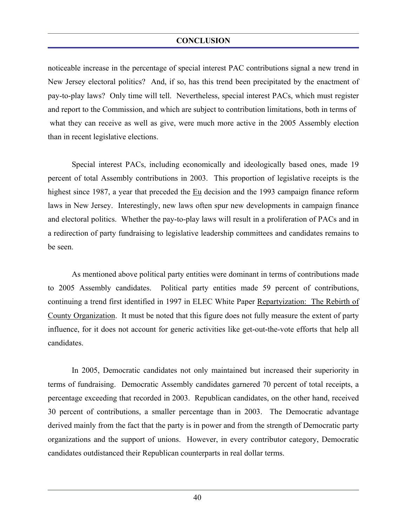#### **CONCLUSION**

noticeable increase in the percentage of special interest PAC contributions signal a new trend in New Jersey electoral politics? And, if so, has this trend been precipitated by the enactment of pay-to-play laws? Only time will tell. Nevertheless, special interest PACs, which must register and report to the Commission, and which are subject to contribution limitations, both in terms of what they can receive as well as give, were much more active in the 2005 Assembly election than in recent legislative elections.

 Special interest PACs, including economically and ideologically based ones, made 19 percent of total Assembly contributions in 2003. This proportion of legislative receipts is the highest since 1987, a year that preceded the Eu decision and the 1993 campaign finance reform laws in New Jersey. Interestingly, new laws often spur new developments in campaign finance and electoral politics. Whether the pay-to-play laws will result in a proliferation of PACs and in a redirection of party fundraising to legislative leadership committees and candidates remains to be seen.

 As mentioned above political party entities were dominant in terms of contributions made to 2005 Assembly candidates. Political party entities made 59 percent of contributions, continuing a trend first identified in 1997 in ELEC White Paper Repartyization: The Rebirth of County Organization. It must be noted that this figure does not fully measure the extent of party influence, for it does not account for generic activities like get-out-the-vote efforts that help all candidates.

 In 2005, Democratic candidates not only maintained but increased their superiority in terms of fundraising. Democratic Assembly candidates garnered 70 percent of total receipts, a percentage exceeding that recorded in 2003. Republican candidates, on the other hand, received 30 percent of contributions, a smaller percentage than in 2003. The Democratic advantage derived mainly from the fact that the party is in power and from the strength of Democratic party organizations and the support of unions. However, in every contributor category, Democratic candidates outdistanced their Republican counterparts in real dollar terms.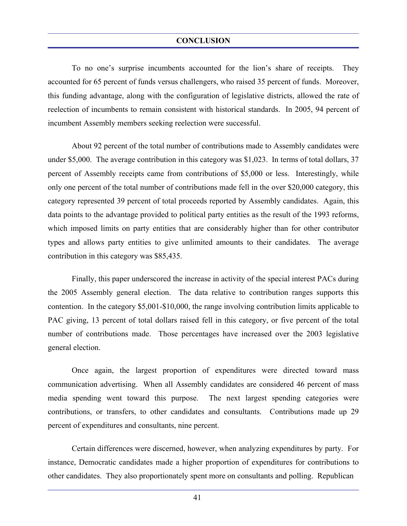To no one's surprise incumbents accounted for the lion's share of receipts. They accounted for 65 percent of funds versus challengers, who raised 35 percent of funds. Moreover, this funding advantage, along with the configuration of legislative districts, allowed the rate of reelection of incumbents to remain consistent with historical standards. In 2005, 94 percent of incumbent Assembly members seeking reelection were successful.

 About 92 percent of the total number of contributions made to Assembly candidates were under \$5,000. The average contribution in this category was \$1,023. In terms of total dollars, 37 percent of Assembly receipts came from contributions of \$5,000 or less. Interestingly, while only one percent of the total number of contributions made fell in the over \$20,000 category, this category represented 39 percent of total proceeds reported by Assembly candidates. Again, this data points to the advantage provided to political party entities as the result of the 1993 reforms, which imposed limits on party entities that are considerably higher than for other contributor types and allows party entities to give unlimited amounts to their candidates. The average contribution in this category was \$85,435.

 Finally, this paper underscored the increase in activity of the special interest PACs during the 2005 Assembly general election. The data relative to contribution ranges supports this contention. In the category \$5,001-\$10,000, the range involving contribution limits applicable to PAC giving, 13 percent of total dollars raised fell in this category, or five percent of the total number of contributions made. Those percentages have increased over the 2003 legislative general election.

 Once again, the largest proportion of expenditures were directed toward mass communication advertising. When all Assembly candidates are considered 46 percent of mass media spending went toward this purpose. The next largest spending categories were contributions, or transfers, to other candidates and consultants. Contributions made up 29 percent of expenditures and consultants, nine percent.

 Certain differences were discerned, however, when analyzing expenditures by party. For instance, Democratic candidates made a higher proportion of expenditures for contributions to other candidates. They also proportionately spent more on consultants and polling. Republican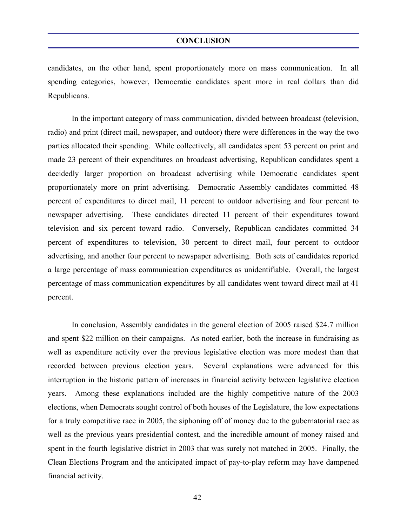candidates, on the other hand, spent proportionately more on mass communication. In all spending categories, however, Democratic candidates spent more in real dollars than did Republicans.

 In the important category of mass communication, divided between broadcast (television, radio) and print (direct mail, newspaper, and outdoor) there were differences in the way the two parties allocated their spending. While collectively, all candidates spent 53 percent on print and made 23 percent of their expenditures on broadcast advertising, Republican candidates spent a decidedly larger proportion on broadcast advertising while Democratic candidates spent proportionately more on print advertising. Democratic Assembly candidates committed 48 percent of expenditures to direct mail, 11 percent to outdoor advertising and four percent to newspaper advertising. These candidates directed 11 percent of their expenditures toward television and six percent toward radio. Conversely, Republican candidates committed 34 percent of expenditures to television, 30 percent to direct mail, four percent to outdoor advertising, and another four percent to newspaper advertising. Both sets of candidates reported a large percentage of mass communication expenditures as unidentifiable. Overall, the largest percentage of mass communication expenditures by all candidates went toward direct mail at 41 percent.

 In conclusion, Assembly candidates in the general election of 2005 raised \$24.7 million and spent \$22 million on their campaigns. As noted earlier, both the increase in fundraising as well as expenditure activity over the previous legislative election was more modest than that recorded between previous election years. Several explanations were advanced for this interruption in the historic pattern of increases in financial activity between legislative election years. Among these explanations included are the highly competitive nature of the 2003 elections, when Democrats sought control of both houses of the Legislature, the low expectations for a truly competitive race in 2005, the siphoning off of money due to the gubernatorial race as well as the previous years presidential contest, and the incredible amount of money raised and spent in the fourth legislative district in 2003 that was surely not matched in 2005. Finally, the Clean Elections Program and the anticipated impact of pay-to-play reform may have dampened financial activity.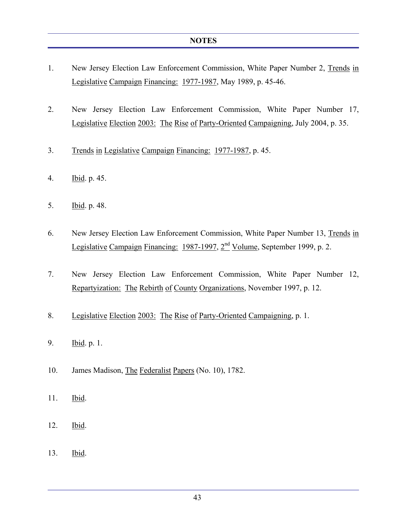- 1. New Jersey Election Law Enforcement Commission, White Paper Number 2, Trends in Legislative Campaign Financing: 1977-1987, May 1989, p. 45-46.
- 2. New Jersey Election Law Enforcement Commission, White Paper Number 17, Legislative Election 2003: The Rise of Party-Oriented Campaigning, July 2004, p. 35.
- 3. Trends in Legislative Campaign Financing: 1977-1987, p. 45.
- 4. Ibid. p. 45.
- 5. Ibid. p. 48.
- 6. New Jersey Election Law Enforcement Commission, White Paper Number 13, Trends in Legislative Campaign Financing: 1987-1997, 2<sup>nd</sup> Volume, September 1999, p. 2.
- 7. New Jersey Election Law Enforcement Commission, White Paper Number 12, Repartyization: The Rebirth of County Organizations, November 1997, p. 12.
- 8. Legislative Election 2003: The Rise of Party-Oriented Campaigning, p. 1.
- 9. Ibid. p. 1.
- 10. James Madison, The Federalist Papers (No. 10), 1782.
- 11. Ibid.
- 12. Ibid.
- 13. Ibid.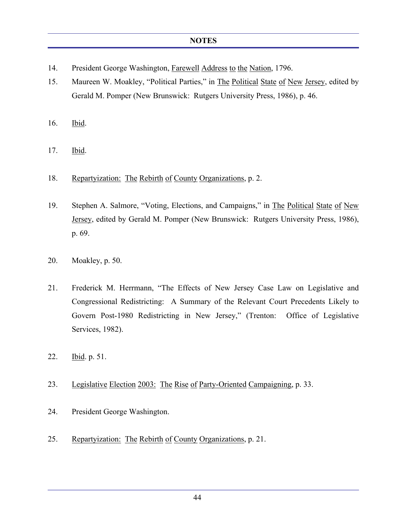- 14. President George Washington, Farewell Address to the Nation, 1796.
- 15. Maureen W. Moakley, "Political Parties," in The Political State of New Jersey, edited by Gerald M. Pomper (New Brunswick: Rutgers University Press, 1986), p. 46.
- 16. Ibid.
- 17. Ibid.
- 18. Repartyization: The Rebirth of County Organizations, p. 2.
- 19. Stephen A. Salmore, "Voting, Elections, and Campaigns," in The Political State of New Jersey, edited by Gerald M. Pomper (New Brunswick: Rutgers University Press, 1986), p. 69.
- 20. Moakley, p. 50.
- 21. Frederick M. Herrmann, "The Effects of New Jersey Case Law on Legislative and Congressional Redistricting: A Summary of the Relevant Court Precedents Likely to Govern Post-1980 Redistricting in New Jersey," (Trenton: Office of Legislative Services, 1982).
- 22. Ibid. p. 51.
- 23. Legislative Election 2003: The Rise of Party-Oriented Campaigning, p. 33.
- 24. President George Washington.
- 25. Repartyization: The Rebirth of County Organizations, p. 21.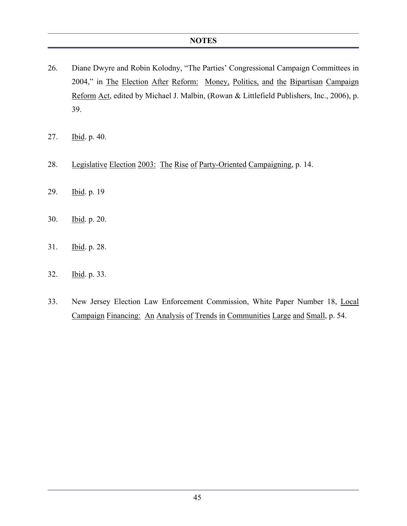- 26. Diane Dwyre and Robin Kolodny, "The Parties' Congressional Campaign Committees in 2004," in The Election After Reform: Money, Politics, and the Bipartisan Campaign Reform Act, edited by Michael J. Malbin, (Rowan & Littlefield Publishers, Inc., 2006), p. 39.
- 27. Ibid. p. 40.
- 28. Legislative Election 2003: The Rise of Party-Oriented Campaigning, p. 14.
- 29. Ibid. p. 19
- 30. Ibid. p. 20.
- 31. Ibid. p. 28.
- 32. Ibid. p. 33.
- 33. New Jersey Election Law Enforcement Commission, White Paper Number 18, Local Campaign Financing: An Analysis of Trends in Communities Large and Small, p. 54.